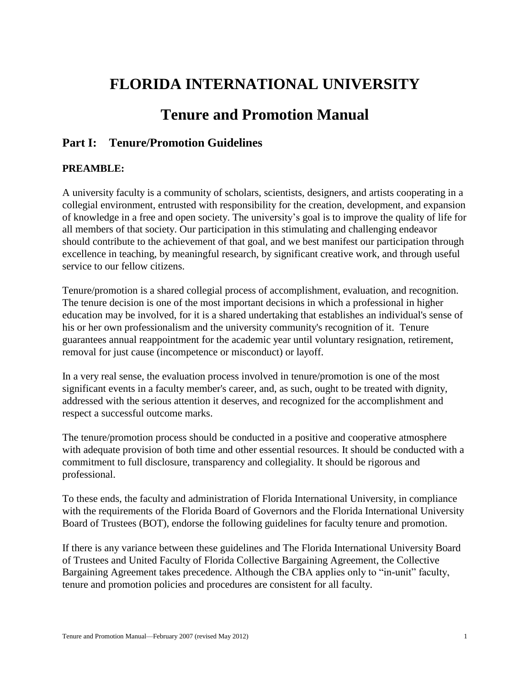# **FLORIDA INTERNATIONAL UNIVERSITY**

## **Tenure and Promotion Manual**

## **Part I: Tenure/Promotion Guidelines**

## **PREAMBLE:**

A university faculty is a community of scholars, scientists, designers, and artists cooperating in a collegial environment, entrusted with responsibility for the creation, development, and expansion of knowledge in a free and open society. The university's goal is to improve the quality of life for all members of that society. Our participation in this stimulating and challenging endeavor should contribute to the achievement of that goal, and we best manifest our participation through excellence in teaching, by meaningful research, by significant creative work, and through useful service to our fellow citizens.

Tenure/promotion is a shared collegial process of accomplishment, evaluation, and recognition. The tenure decision is one of the most important decisions in which a professional in higher education may be involved, for it is a shared undertaking that establishes an individual's sense of his or her own professionalism and the university community's recognition of it. Tenure guarantees annual reappointment for the academic year until voluntary resignation, retirement, removal for just cause (incompetence or misconduct) or layoff.

In a very real sense, the evaluation process involved in tenure/promotion is one of the most significant events in a faculty member's career, and, as such, ought to be treated with dignity, addressed with the serious attention it deserves, and recognized for the accomplishment and respect a successful outcome marks.

The tenure/promotion process should be conducted in a positive and cooperative atmosphere with adequate provision of both time and other essential resources. It should be conducted with a commitment to full disclosure, transparency and collegiality. It should be rigorous and professional.

To these ends, the faculty and administration of Florida International University, in compliance with the requirements of the Florida Board of Governors and the Florida International University Board of Trustees (BOT), endorse the following guidelines for faculty tenure and promotion.

If there is any variance between these guidelines and The Florida International University Board of Trustees and United Faculty of Florida Collective Bargaining Agreement, the Collective Bargaining Agreement takes precedence. Although the CBA applies only to "in-unit" faculty, tenure and promotion policies and procedures are consistent for all faculty.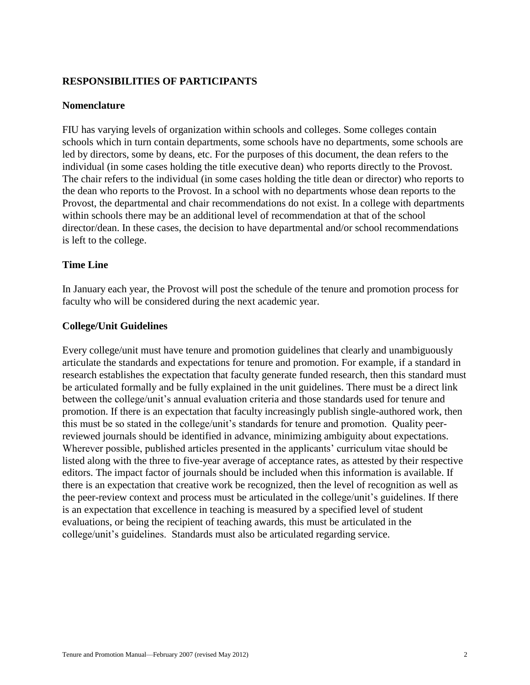## **RESPONSIBILITIES OF PARTICIPANTS**

#### **Nomenclature**

FIU has varying levels of organization within schools and colleges. Some colleges contain schools which in turn contain departments, some schools have no departments, some schools are led by directors, some by deans, etc. For the purposes of this document, the dean refers to the individual (in some cases holding the title executive dean) who reports directly to the Provost. The chair refers to the individual (in some cases holding the title dean or director) who reports to the dean who reports to the Provost. In a school with no departments whose dean reports to the Provost, the departmental and chair recommendations do not exist. In a college with departments within schools there may be an additional level of recommendation at that of the school director/dean. In these cases, the decision to have departmental and/or school recommendations is left to the college.

#### **Time Line**

In January each year, the Provost will post the schedule of the tenure and promotion process for faculty who will be considered during the next academic year.

#### **College/Unit Guidelines**

Every college/unit must have tenure and promotion guidelines that clearly and unambiguously articulate the standards and expectations for tenure and promotion. For example, if a standard in research establishes the expectation that faculty generate funded research, then this standard must be articulated formally and be fully explained in the unit guidelines. There must be a direct link between the college/unit's annual evaluation criteria and those standards used for tenure and promotion. If there is an expectation that faculty increasingly publish single-authored work, then this must be so stated in the college/unit's standards for tenure and promotion. Quality peerreviewed journals should be identified in advance, minimizing ambiguity about expectations. Wherever possible, published articles presented in the applicants' curriculum vitae should be listed along with the three to five-year average of acceptance rates, as attested by their respective editors. The impact factor of journals should be included when this information is available. If there is an expectation that creative work be recognized, then the level of recognition as well as the peer-review context and process must be articulated in the college/unit's guidelines. If there is an expectation that excellence in teaching is measured by a specified level of student evaluations, or being the recipient of teaching awards, this must be articulated in the college/unit's guidelines. Standards must also be articulated regarding service.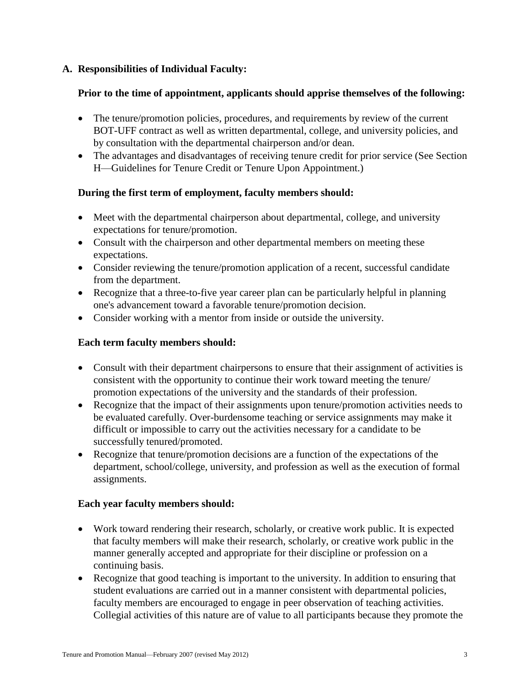## **A. Responsibilities of Individual Faculty:**

## **Prior to the time of appointment, applicants should apprise themselves of the following:**

- The tenure/promotion policies, procedures, and requirements by review of the current BOT-UFF contract as well as written departmental, college, and university policies, and by consultation with the departmental chairperson and/or dean.
- The advantages and disadvantages of receiving tenure credit for prior service (See Section H—Guidelines for Tenure Credit or Tenure Upon Appointment.)

## **During the first term of employment, faculty members should:**

- Meet with the departmental chairperson about departmental, college, and university expectations for tenure/promotion.
- Consult with the chairperson and other departmental members on meeting these expectations.
- Consider reviewing the tenure/promotion application of a recent, successful candidate from the department.
- Recognize that a three-to-five year career plan can be particularly helpful in planning one's advancement toward a favorable tenure/promotion decision.
- Consider working with a mentor from inside or outside the university.

## **Each term faculty members should:**

- Consult with their department chairpersons to ensure that their assignment of activities is consistent with the opportunity to continue their work toward meeting the tenure/ promotion expectations of the university and the standards of their profession.
- Recognize that the impact of their assignments upon tenure/promotion activities needs to be evaluated carefully. Over-burdensome teaching or service assignments may make it difficult or impossible to carry out the activities necessary for a candidate to be successfully tenured/promoted.
- Recognize that tenure/promotion decisions are a function of the expectations of the department, school/college, university, and profession as well as the execution of formal assignments.

#### **Each year faculty members should:**

- Work toward rendering their research, scholarly, or creative work public. It is expected that faculty members will make their research, scholarly, or creative work public in the manner generally accepted and appropriate for their discipline or profession on a continuing basis.
- Recognize that good teaching is important to the university. In addition to ensuring that student evaluations are carried out in a manner consistent with departmental policies, faculty members are encouraged to engage in peer observation of teaching activities. Collegial activities of this nature are of value to all participants because they promote the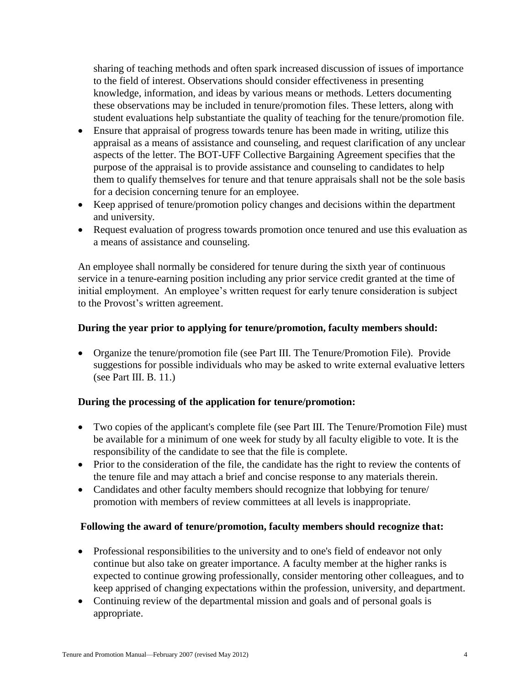sharing of teaching methods and often spark increased discussion of issues of importance to the field of interest. Observations should consider effectiveness in presenting knowledge, information, and ideas by various means or methods. Letters documenting these observations may be included in tenure/promotion files. These letters, along with student evaluations help substantiate the quality of teaching for the tenure/promotion file.

- Ensure that appraisal of progress towards tenure has been made in writing, utilize this appraisal as a means of assistance and counseling, and request clarification of any unclear aspects of the letter. The BOT-UFF Collective Bargaining Agreement specifies that the purpose of the appraisal is to provide assistance and counseling to candidates to help them to qualify themselves for tenure and that tenure appraisals shall not be the sole basis for a decision concerning tenure for an employee.
- Keep apprised of tenure/promotion policy changes and decisions within the department and university.
- Request evaluation of progress towards promotion once tenured and use this evaluation as a means of assistance and counseling.

An employee shall normally be considered for tenure during the sixth year of continuous service in a tenure-earning position including any prior service credit granted at the time of initial employment. An employee's written request for early tenure consideration is subject to the Provost's written agreement.

## **During the year prior to applying for tenure/promotion, faculty members should:**

 Organize the tenure/promotion file (see Part III. The Tenure/Promotion File). Provide suggestions for possible individuals who may be asked to write external evaluative letters (see Part III. B. 11.)

## **During the processing of the application for tenure/promotion:**

- Two copies of the applicant's complete file (see Part III. The Tenure/Promotion File) must be available for a minimum of one week for study by all faculty eligible to vote. It is the responsibility of the candidate to see that the file is complete.
- Prior to the consideration of the file, the candidate has the right to review the contents of the tenure file and may attach a brief and concise response to any materials therein.
- Candidates and other faculty members should recognize that lobbying for tenure/ promotion with members of review committees at all levels is inappropriate.

## **Following the award of tenure/promotion, faculty members should recognize that:**

- Professional responsibilities to the university and to one's field of endeavor not only continue but also take on greater importance. A faculty member at the higher ranks is expected to continue growing professionally, consider mentoring other colleagues, and to keep apprised of changing expectations within the profession, university, and department.
- Continuing review of the departmental mission and goals and of personal goals is appropriate.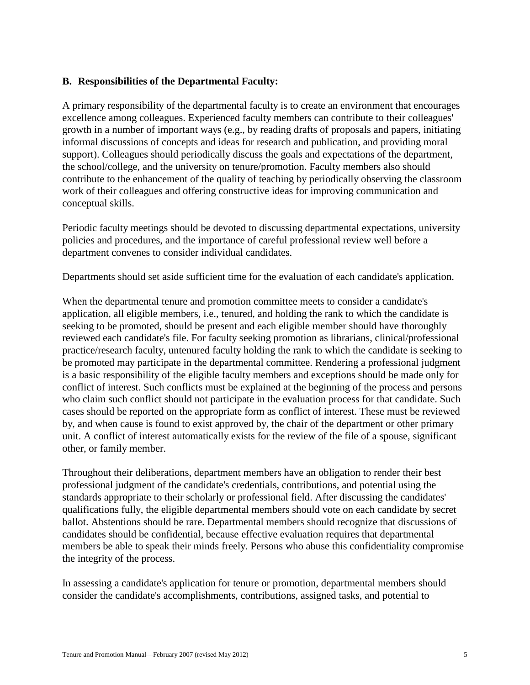## **B. Responsibilities of the Departmental Faculty:**

A primary responsibility of the departmental faculty is to create an environment that encourages excellence among colleagues. Experienced faculty members can contribute to their colleagues' growth in a number of important ways (e.g., by reading drafts of proposals and papers, initiating informal discussions of concepts and ideas for research and publication, and providing moral support). Colleagues should periodically discuss the goals and expectations of the department, the school/college, and the university on tenure/promotion. Faculty members also should contribute to the enhancement of the quality of teaching by periodically observing the classroom work of their colleagues and offering constructive ideas for improving communication and conceptual skills.

Periodic faculty meetings should be devoted to discussing departmental expectations, university policies and procedures, and the importance of careful professional review well before a department convenes to consider individual candidates.

Departments should set aside sufficient time for the evaluation of each candidate's application.

When the departmental tenure and promotion committee meets to consider a candidate's application, all eligible members, i.e., tenured, and holding the rank to which the candidate is seeking to be promoted, should be present and each eligible member should have thoroughly reviewed each candidate's file. For faculty seeking promotion as librarians, clinical/professional practice/research faculty, untenured faculty holding the rank to which the candidate is seeking to be promoted may participate in the departmental committee. Rendering a professional judgment is a basic responsibility of the eligible faculty members and exceptions should be made only for conflict of interest. Such conflicts must be explained at the beginning of the process and persons who claim such conflict should not participate in the evaluation process for that candidate. Such cases should be reported on the appropriate form as conflict of interest. These must be reviewed by, and when cause is found to exist approved by, the chair of the department or other primary unit. A conflict of interest automatically exists for the review of the file of a spouse, significant other, or family member.

Throughout their deliberations, department members have an obligation to render their best professional judgment of the candidate's credentials, contributions, and potential using the standards appropriate to their scholarly or professional field. After discussing the candidates' qualifications fully, the eligible departmental members should vote on each candidate by secret ballot. Abstentions should be rare. Departmental members should recognize that discussions of candidates should be confidential, because effective evaluation requires that departmental members be able to speak their minds freely. Persons who abuse this confidentiality compromise the integrity of the process.

In assessing a candidate's application for tenure or promotion, departmental members should consider the candidate's accomplishments, contributions, assigned tasks, and potential to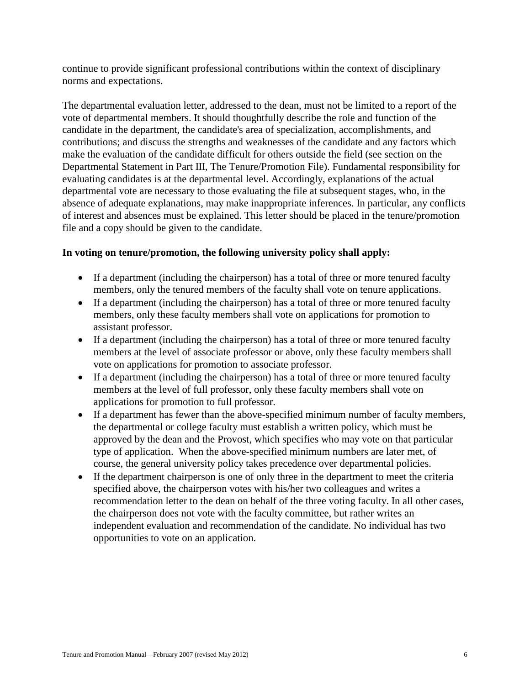continue to provide significant professional contributions within the context of disciplinary norms and expectations.

The departmental evaluation letter, addressed to the dean, must not be limited to a report of the vote of departmental members. It should thoughtfully describe the role and function of the candidate in the department, the candidate's area of specialization, accomplishments, and contributions; and discuss the strengths and weaknesses of the candidate and any factors which make the evaluation of the candidate difficult for others outside the field (see section on the Departmental Statement in Part III, The Tenure/Promotion File). Fundamental responsibility for evaluating candidates is at the departmental level. Accordingly, explanations of the actual departmental vote are necessary to those evaluating the file at subsequent stages, who, in the absence of adequate explanations, may make inappropriate inferences. In particular, any conflicts of interest and absences must be explained. This letter should be placed in the tenure/promotion file and a copy should be given to the candidate.

## **In voting on tenure/promotion, the following university policy shall apply:**

- If a department (including the chairperson) has a total of three or more tenured faculty members, only the tenured members of the faculty shall vote on tenure applications.
- If a department (including the chairperson) has a total of three or more tenured faculty members, only these faculty members shall vote on applications for promotion to assistant professor.
- If a department (including the chairperson) has a total of three or more tenured faculty members at the level of associate professor or above, only these faculty members shall vote on applications for promotion to associate professor.
- If a department (including the chairperson) has a total of three or more tenured faculty members at the level of full professor, only these faculty members shall vote on applications for promotion to full professor.
- If a department has fewer than the above-specified minimum number of faculty members, the departmental or college faculty must establish a written policy, which must be approved by the dean and the Provost, which specifies who may vote on that particular type of application. When the above-specified minimum numbers are later met, of course, the general university policy takes precedence over departmental policies.
- If the department chairperson is one of only three in the department to meet the criteria specified above, the chairperson votes with his/her two colleagues and writes a recommendation letter to the dean on behalf of the three voting faculty. In all other cases, the chairperson does not vote with the faculty committee, but rather writes an independent evaluation and recommendation of the candidate. No individual has two opportunities to vote on an application.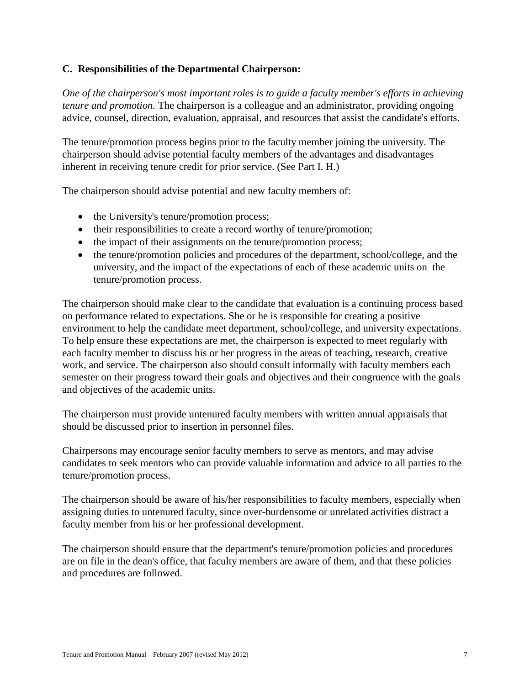## **C. Responsibilities of the Departmental Chairperson:**

*One of the chairperson's most important roles is to guide a faculty member's efforts in achieving tenure and promotion.* The chairperson is a colleague and an administrator, providing ongoing advice, counsel, direction, evaluation, appraisal, and resources that assist the candidate's efforts.

The tenure/promotion process begins prior to the faculty member joining the university. The chairperson should advise potential faculty members of the advantages and disadvantages inherent in receiving tenure credit for prior service. (See Part I. H.)

The chairperson should advise potential and new faculty members of:

- the University's tenure/promotion process;
- their responsibilities to create a record worthy of tenure/promotion;
- the impact of their assignments on the tenure/promotion process;
- the tenure/promotion policies and procedures of the department, school/college, and the university, and the impact of the expectations of each of these academic units on the tenure/promotion process.

The chairperson should make clear to the candidate that evaluation is a continuing process based on performance related to expectations. She or he is responsible for creating a positive environment to help the candidate meet department, school/college, and university expectations. To help ensure these expectations are met, the chairperson is expected to meet regularly with each faculty member to discuss his or her progress in the areas of teaching, research, creative work, and service. The chairperson also should consult informally with faculty members each semester on their progress toward their goals and objectives and their congruence with the goals and objectives of the academic units.

The chairperson must provide untenured faculty members with written annual appraisals that should be discussed prior to insertion in personnel files.

Chairpersons may encourage senior faculty members to serve as mentors, and may advise candidates to seek mentors who can provide valuable information and advice to all parties to the tenure/promotion process.

The chairperson should be aware of his/her responsibilities to faculty members, especially when assigning duties to untenured faculty, since over-burdensome or unrelated activities distract a faculty member from his or her professional development.

The chairperson should ensure that the department's tenure/promotion policies and procedures are on file in the dean's office, that faculty members are aware of them, and that these policies and procedures are followed.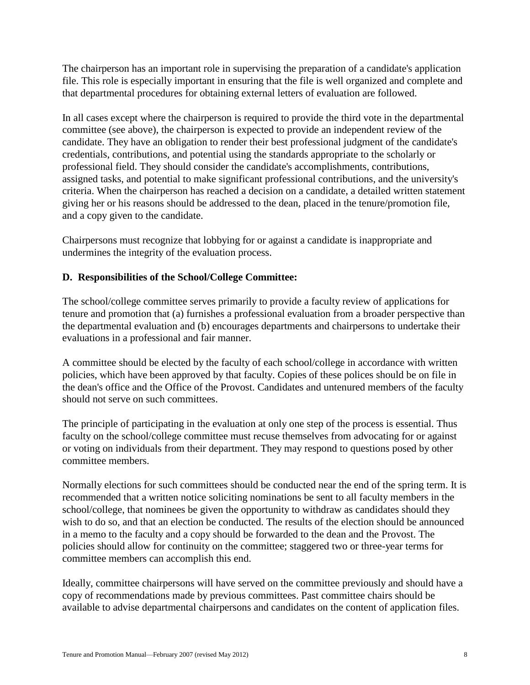The chairperson has an important role in supervising the preparation of a candidate's application file. This role is especially important in ensuring that the file is well organized and complete and that departmental procedures for obtaining external letters of evaluation are followed.

In all cases except where the chairperson is required to provide the third vote in the departmental committee (see above), the chairperson is expected to provide an independent review of the candidate. They have an obligation to render their best professional judgment of the candidate's credentials, contributions, and potential using the standards appropriate to the scholarly or professional field. They should consider the candidate's accomplishments, contributions, assigned tasks, and potential to make significant professional contributions, and the university's criteria. When the chairperson has reached a decision on a candidate, a detailed written statement giving her or his reasons should be addressed to the dean, placed in the tenure/promotion file, and a copy given to the candidate.

Chairpersons must recognize that lobbying for or against a candidate is inappropriate and undermines the integrity of the evaluation process.

## **D. Responsibilities of the School/College Committee:**

The school/college committee serves primarily to provide a faculty review of applications for tenure and promotion that (a) furnishes a professional evaluation from a broader perspective than the departmental evaluation and (b) encourages departments and chairpersons to undertake their evaluations in a professional and fair manner.

A committee should be elected by the faculty of each school/college in accordance with written policies, which have been approved by that faculty. Copies of these polices should be on file in the dean's office and the Office of the Provost. Candidates and untenured members of the faculty should not serve on such committees.

The principle of participating in the evaluation at only one step of the process is essential. Thus faculty on the school/college committee must recuse themselves from advocating for or against or voting on individuals from their department. They may respond to questions posed by other committee members.

Normally elections for such committees should be conducted near the end of the spring term. It is recommended that a written notice soliciting nominations be sent to all faculty members in the school/college, that nominees be given the opportunity to withdraw as candidates should they wish to do so, and that an election be conducted. The results of the election should be announced in a memo to the faculty and a copy should be forwarded to the dean and the Provost. The policies should allow for continuity on the committee; staggered two or three-year terms for committee members can accomplish this end.

Ideally, committee chairpersons will have served on the committee previously and should have a copy of recommendations made by previous committees. Past committee chairs should be available to advise departmental chairpersons and candidates on the content of application files.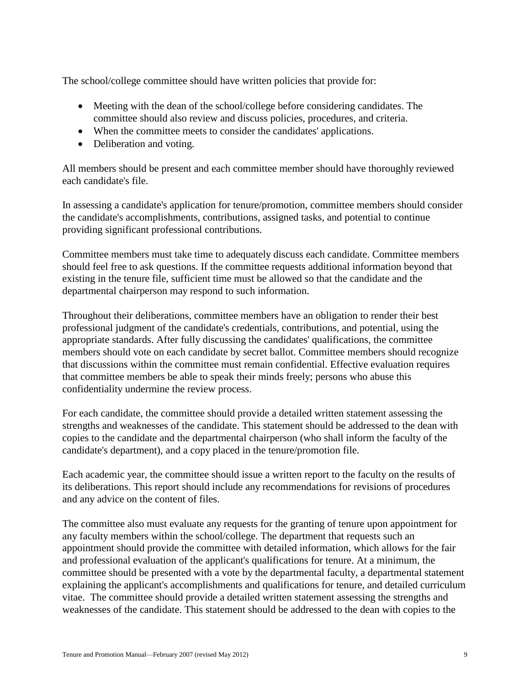The school/college committee should have written policies that provide for:

- Meeting with the dean of the school/college before considering candidates. The committee should also review and discuss policies, procedures, and criteria.
- When the committee meets to consider the candidates' applications.
- Deliberation and voting.

All members should be present and each committee member should have thoroughly reviewed each candidate's file.

In assessing a candidate's application for tenure/promotion, committee members should consider the candidate's accomplishments, contributions, assigned tasks, and potential to continue providing significant professional contributions.

Committee members must take time to adequately discuss each candidate. Committee members should feel free to ask questions. If the committee requests additional information beyond that existing in the tenure file, sufficient time must be allowed so that the candidate and the departmental chairperson may respond to such information.

Throughout their deliberations, committee members have an obligation to render their best professional judgment of the candidate's credentials, contributions, and potential, using the appropriate standards. After fully discussing the candidates' qualifications, the committee members should vote on each candidate by secret ballot. Committee members should recognize that discussions within the committee must remain confidential. Effective evaluation requires that committee members be able to speak their minds freely; persons who abuse this confidentiality undermine the review process.

For each candidate, the committee should provide a detailed written statement assessing the strengths and weaknesses of the candidate. This statement should be addressed to the dean with copies to the candidate and the departmental chairperson (who shall inform the faculty of the candidate's department), and a copy placed in the tenure/promotion file.

Each academic year, the committee should issue a written report to the faculty on the results of its deliberations. This report should include any recommendations for revisions of procedures and any advice on the content of files.

The committee also must evaluate any requests for the granting of tenure upon appointment for any faculty members within the school/college. The department that requests such an appointment should provide the committee with detailed information, which allows for the fair and professional evaluation of the applicant's qualifications for tenure. At a minimum, the committee should be presented with a vote by the departmental faculty, a departmental statement explaining the applicant's accomplishments and qualifications for tenure, and detailed curriculum vitae. The committee should provide a detailed written statement assessing the strengths and weaknesses of the candidate. This statement should be addressed to the dean with copies to the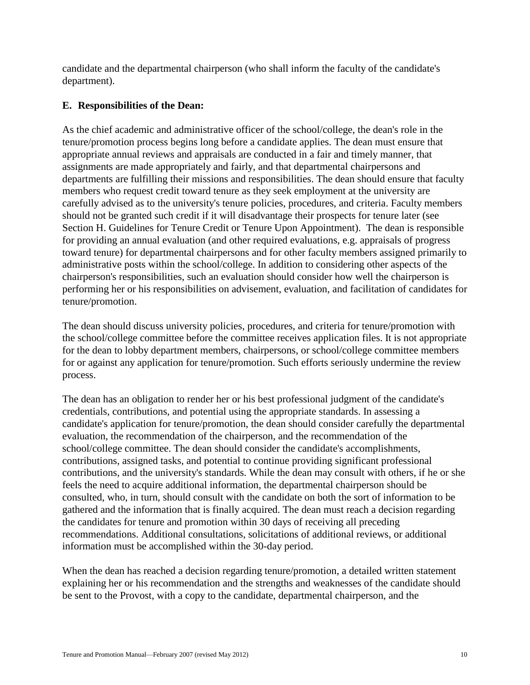candidate and the departmental chairperson (who shall inform the faculty of the candidate's department).

## **E. Responsibilities of the Dean:**

As the chief academic and administrative officer of the school/college, the dean's role in the tenure/promotion process begins long before a candidate applies. The dean must ensure that appropriate annual reviews and appraisals are conducted in a fair and timely manner, that assignments are made appropriately and fairly, and that departmental chairpersons and departments are fulfilling their missions and responsibilities. The dean should ensure that faculty members who request credit toward tenure as they seek employment at the university are carefully advised as to the university's tenure policies, procedures, and criteria. Faculty members should not be granted such credit if it will disadvantage their prospects for tenure later (see Section H. Guidelines for Tenure Credit or Tenure Upon Appointment). The dean is responsible for providing an annual evaluation (and other required evaluations, e.g. appraisals of progress toward tenure) for departmental chairpersons and for other faculty members assigned primarily to administrative posts within the school/college. In addition to considering other aspects of the chairperson's responsibilities, such an evaluation should consider how well the chairperson is performing her or his responsibilities on advisement, evaluation, and facilitation of candidates for tenure/promotion.

The dean should discuss university policies, procedures, and criteria for tenure/promotion with the school/college committee before the committee receives application files. It is not appropriate for the dean to lobby department members, chairpersons, or school/college committee members for or against any application for tenure/promotion. Such efforts seriously undermine the review process.

The dean has an obligation to render her or his best professional judgment of the candidate's credentials, contributions, and potential using the appropriate standards. In assessing a candidate's application for tenure/promotion, the dean should consider carefully the departmental evaluation, the recommendation of the chairperson, and the recommendation of the school/college committee. The dean should consider the candidate's accomplishments, contributions, assigned tasks, and potential to continue providing significant professional contributions, and the university's standards. While the dean may consult with others, if he or she feels the need to acquire additional information, the departmental chairperson should be consulted, who, in turn, should consult with the candidate on both the sort of information to be gathered and the information that is finally acquired. The dean must reach a decision regarding the candidates for tenure and promotion within 30 days of receiving all preceding recommendations. Additional consultations, solicitations of additional reviews, or additional information must be accomplished within the 30-day period.

When the dean has reached a decision regarding tenure/promotion, a detailed written statement explaining her or his recommendation and the strengths and weaknesses of the candidate should be sent to the Provost, with a copy to the candidate, departmental chairperson, and the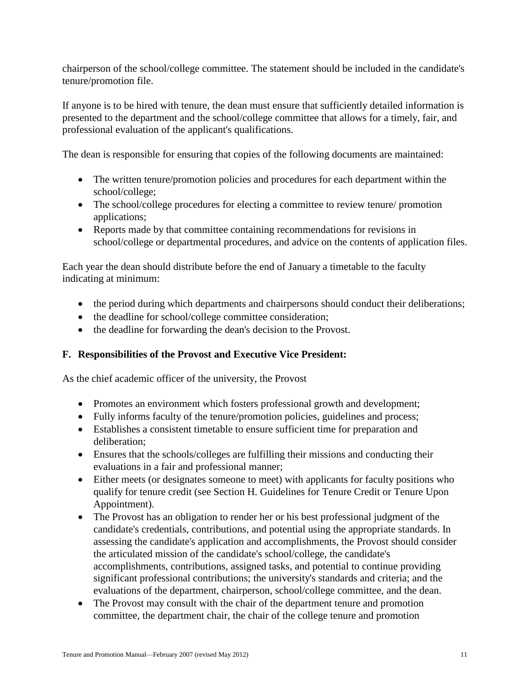chairperson of the school/college committee. The statement should be included in the candidate's tenure/promotion file.

If anyone is to be hired with tenure, the dean must ensure that sufficiently detailed information is presented to the department and the school/college committee that allows for a timely, fair, and professional evaluation of the applicant's qualifications.

The dean is responsible for ensuring that copies of the following documents are maintained:

- The written tenure/promotion policies and procedures for each department within the school/college;
- The school/college procedures for electing a committee to review tenure/ promotion applications;
- Reports made by that committee containing recommendations for revisions in school/college or departmental procedures, and advice on the contents of application files.

Each year the dean should distribute before the end of January a timetable to the faculty indicating at minimum:

- the period during which departments and chairpersons should conduct their deliberations;
- the deadline for school/college committee consideration;
- the deadline for forwarding the dean's decision to the Provost.

## **F. Responsibilities of the Provost and Executive Vice President:**

As the chief academic officer of the university, the Provost

- Promotes an environment which fosters professional growth and development;
- Fully informs faculty of the tenure/promotion policies, guidelines and process;
- Establishes a consistent timetable to ensure sufficient time for preparation and deliberation;
- Ensures that the schools/colleges are fulfilling their missions and conducting their evaluations in a fair and professional manner;
- Either meets (or designates someone to meet) with applicants for faculty positions who qualify for tenure credit (see Section H. Guidelines for Tenure Credit or Tenure Upon Appointment).
- The Provost has an obligation to render her or his best professional judgment of the candidate's credentials, contributions, and potential using the appropriate standards. In assessing the candidate's application and accomplishments, the Provost should consider the articulated mission of the candidate's school/college, the candidate's accomplishments, contributions, assigned tasks, and potential to continue providing significant professional contributions; the university's standards and criteria; and the evaluations of the department, chairperson, school/college committee, and the dean.
- The Provost may consult with the chair of the department tenure and promotion committee, the department chair, the chair of the college tenure and promotion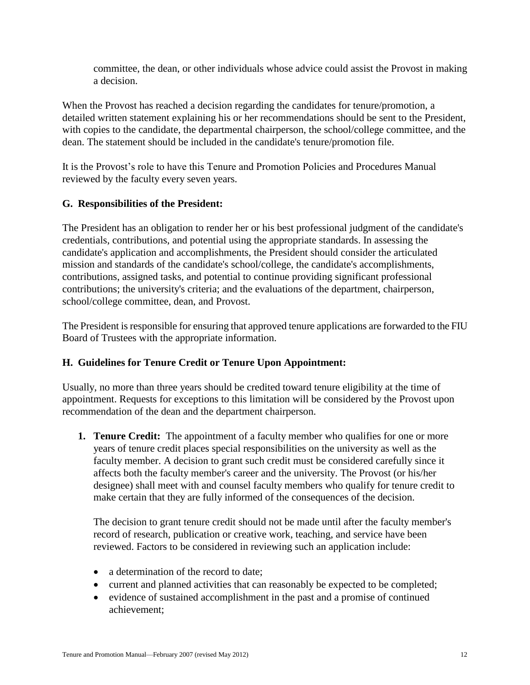committee, the dean, or other individuals whose advice could assist the Provost in making a decision.

When the Provost has reached a decision regarding the candidates for tenure/promotion, a detailed written statement explaining his or her recommendations should be sent to the President, with copies to the candidate, the departmental chairperson, the school/college committee, and the dean. The statement should be included in the candidate's tenure/promotion file.

It is the Provost's role to have this Tenure and Promotion Policies and Procedures Manual reviewed by the faculty every seven years.

## **G. Responsibilities of the President:**

The President has an obligation to render her or his best professional judgment of the candidate's credentials, contributions, and potential using the appropriate standards. In assessing the candidate's application and accomplishments, the President should consider the articulated mission and standards of the candidate's school/college, the candidate's accomplishments, contributions, assigned tasks, and potential to continue providing significant professional contributions; the university's criteria; and the evaluations of the department, chairperson, school/college committee, dean, and Provost.

The President is responsible for ensuring that approved tenure applications are forwarded to the FIU Board of Trustees with the appropriate information.

## **H. Guidelines for Tenure Credit or Tenure Upon Appointment:**

Usually, no more than three years should be credited toward tenure eligibility at the time of appointment. Requests for exceptions to this limitation will be considered by the Provost upon recommendation of the dean and the department chairperson.

**1. Tenure Credit:** The appointment of a faculty member who qualifies for one or more years of tenure credit places special responsibilities on the university as well as the faculty member. A decision to grant such credit must be considered carefully since it affects both the faculty member's career and the university. The Provost (or his/her designee) shall meet with and counsel faculty members who qualify for tenure credit to make certain that they are fully informed of the consequences of the decision.

The decision to grant tenure credit should not be made until after the faculty member's record of research, publication or creative work, teaching, and service have been reviewed. Factors to be considered in reviewing such an application include:

- a determination of the record to date;
- current and planned activities that can reasonably be expected to be completed;
- evidence of sustained accomplishment in the past and a promise of continued achievement;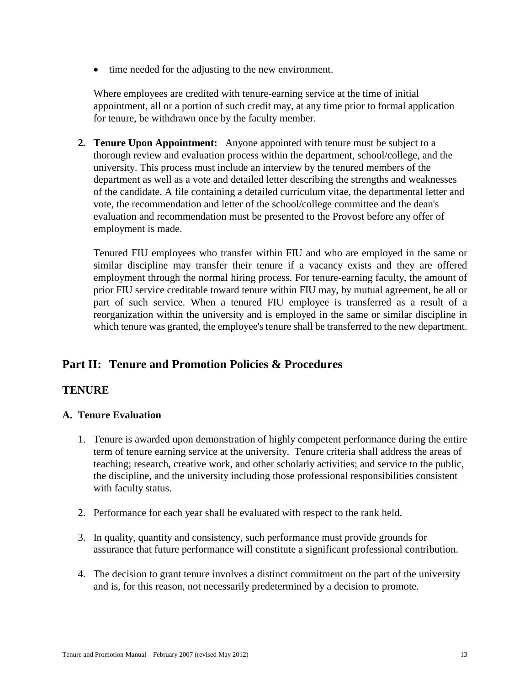• time needed for the adjusting to the new environment.

Where employees are credited with tenure-earning service at the time of initial appointment, all or a portion of such credit may, at any time prior to formal application for tenure, be withdrawn once by the faculty member.

**2. Tenure Upon Appointment:** Anyone appointed with tenure must be subject to a thorough review and evaluation process within the department, school/college, and the university. This process must include an interview by the tenured members of the department as well as a vote and detailed letter describing the strengths and weaknesses of the candidate. A file containing a detailed curriculum vitae, the departmental letter and vote, the recommendation and letter of the school/college committee and the dean's evaluation and recommendation must be presented to the Provost before any offer of employment is made.

Tenured FIU employees who transfer within FIU and who are employed in the same or similar discipline may transfer their tenure if a vacancy exists and they are offered employment through the normal hiring process. For tenure-earning faculty, the amount of prior FIU service creditable toward tenure within FIU may, by mutual agreement, be all or part of such service. When a tenured FIU employee is transferred as a result of a reorganization within the university and is employed in the same or similar discipline in which tenure was granted, the employee's tenure shall be transferred to the new department.

## **Part II: Tenure and Promotion Policies & Procedures**

## **TENURE**

#### **A. Tenure Evaluation**

- 1. Tenure is awarded upon demonstration of highly competent performance during the entire term of tenure earning service at the university. Tenure criteria shall address the areas of teaching; research, creative work, and other scholarly activities; and service to the public, the discipline, and the university including those professional responsibilities consistent with faculty status.
- 2. Performance for each year shall be evaluated with respect to the rank held.
- 3. In quality, quantity and consistency, such performance must provide grounds for assurance that future performance will constitute a significant professional contribution.
- 4. The decision to grant tenure involves a distinct commitment on the part of the university and is, for this reason, not necessarily predetermined by a decision to promote.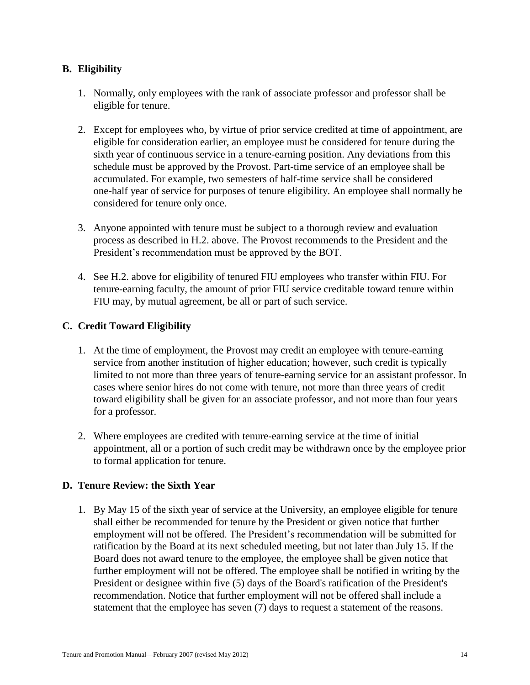## **B. Eligibility**

- 1. Normally, only employees with the rank of associate professor and professor shall be eligible for tenure.
- 2. Except for employees who, by virtue of prior service credited at time of appointment, are eligible for consideration earlier, an employee must be considered for tenure during the sixth year of continuous service in a tenure-earning position. Any deviations from this schedule must be approved by the Provost. Part-time service of an employee shall be accumulated. For example, two semesters of half-time service shall be considered one-half year of service for purposes of tenure eligibility. An employee shall normally be considered for tenure only once.
- 3. Anyone appointed with tenure must be subject to a thorough review and evaluation process as described in H.2. above. The Provost recommends to the President and the President's recommendation must be approved by the BOT.
- 4. See H.2. above for eligibility of tenured FIU employees who transfer within FIU. For tenure-earning faculty, the amount of prior FIU service creditable toward tenure within FIU may, by mutual agreement, be all or part of such service.

## **C. Credit Toward Eligibility**

- 1. At the time of employment, the Provost may credit an employee with tenure-earning service from another institution of higher education; however, such credit is typically limited to not more than three years of tenure-earning service for an assistant professor. In cases where senior hires do not come with tenure, not more than three years of credit toward eligibility shall be given for an associate professor, and not more than four years for a professor.
- 2. Where employees are credited with tenure-earning service at the time of initial appointment, all or a portion of such credit may be withdrawn once by the employee prior to formal application for tenure.

## **D. Tenure Review: the Sixth Year**

1. By May 15 of the sixth year of service at the University, an employee eligible for tenure shall either be recommended for tenure by the President or given notice that further employment will not be offered. The President's recommendation will be submitted for ratification by the Board at its next scheduled meeting, but not later than July 15. If the Board does not award tenure to the employee, the employee shall be given notice that further employment will not be offered. The employee shall be notified in writing by the President or designee within five (5) days of the Board's ratification of the President's recommendation. Notice that further employment will not be offered shall include a statement that the employee has seven (7) days to request a statement of the reasons.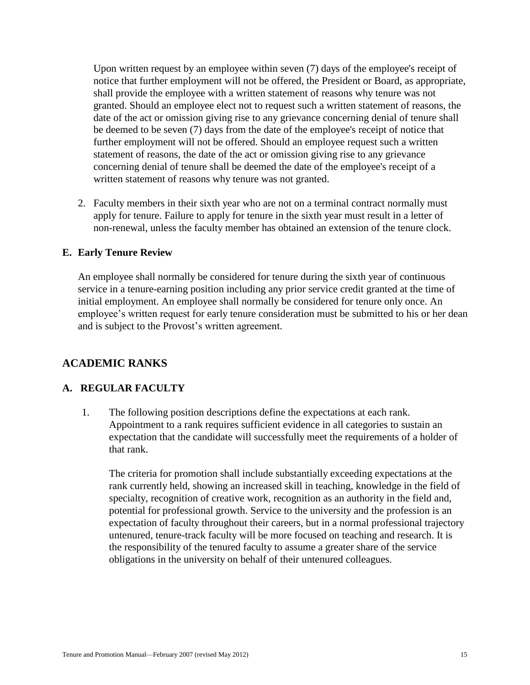Upon written request by an employee within seven (7) days of the employee's receipt of notice that further employment will not be offered, the President or Board, as appropriate, shall provide the employee with a written statement of reasons why tenure was not granted. Should an employee elect not to request such a written statement of reasons, the date of the act or omission giving rise to any grievance concerning denial of tenure shall be deemed to be seven (7) days from the date of the employee's receipt of notice that further employment will not be offered. Should an employee request such a written statement of reasons, the date of the act or omission giving rise to any grievance concerning denial of tenure shall be deemed the date of the employee's receipt of a written statement of reasons why tenure was not granted.

2. Faculty members in their sixth year who are not on a terminal contract normally must apply for tenure. Failure to apply for tenure in the sixth year must result in a letter of non-renewal, unless the faculty member has obtained an extension of the tenure clock.

#### **E. Early Tenure Review**

An employee shall normally be considered for tenure during the sixth year of continuous service in a tenure-earning position including any prior service credit granted at the time of initial employment. An employee shall normally be considered for tenure only once. An employee's written request for early tenure consideration must be submitted to his or her dean and is subject to the Provost's written agreement.

#### **ACADEMIC RANKS**

#### **A. REGULAR FACULTY**

1. The following position descriptions define the expectations at each rank. Appointment to a rank requires sufficient evidence in all categories to sustain an expectation that the candidate will successfully meet the requirements of a holder of that rank.

The criteria for promotion shall include substantially exceeding expectations at the rank currently held, showing an increased skill in teaching, knowledge in the field of specialty, recognition of creative work, recognition as an authority in the field and, potential for professional growth. Service to the university and the profession is an expectation of faculty throughout their careers, but in a normal professional trajectory untenured, tenure-track faculty will be more focused on teaching and research. It is the responsibility of the tenured faculty to assume a greater share of the service obligations in the university on behalf of their untenured colleagues.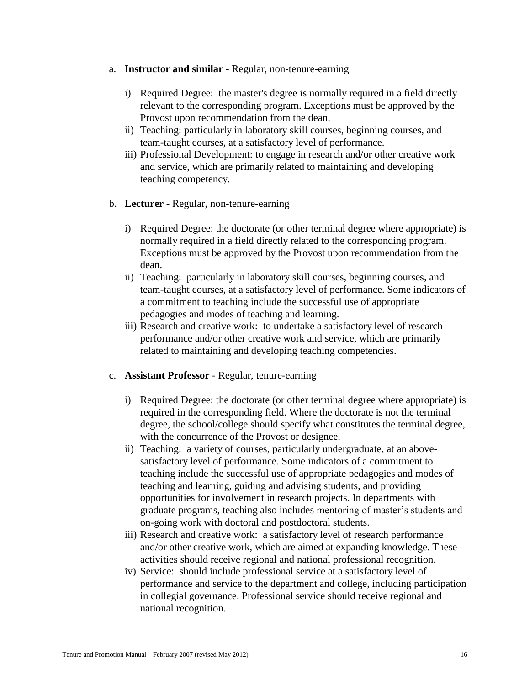- a. **Instructor and similar** Regular, non-tenure-earning
	- i) Required Degree: the master's degree is normally required in a field directly relevant to the corresponding program. Exceptions must be approved by the Provost upon recommendation from the dean.
	- ii) Teaching: particularly in laboratory skill courses, beginning courses, and team-taught courses, at a satisfactory level of performance.
	- iii) Professional Development: to engage in research and/or other creative work and service, which are primarily related to maintaining and developing teaching competency.
- b. **Lecturer** Regular, non-tenure-earning
	- i) Required Degree: the doctorate (or other terminal degree where appropriate) is normally required in a field directly related to the corresponding program. Exceptions must be approved by the Provost upon recommendation from the dean.
	- ii) Teaching: particularly in laboratory skill courses, beginning courses, and team-taught courses, at a satisfactory level of performance. Some indicators of a commitment to teaching include the successful use of appropriate pedagogies and modes of teaching and learning.
	- iii) Research and creative work: to undertake a satisfactory level of research performance and/or other creative work and service, which are primarily related to maintaining and developing teaching competencies.
- c. **Assistant Professor** Regular, tenure-earning
	- i) Required Degree: the doctorate (or other terminal degree where appropriate) is required in the corresponding field. Where the doctorate is not the terminal degree, the school/college should specify what constitutes the terminal degree, with the concurrence of the Provost or designee.
	- ii) Teaching: a variety of courses, particularly undergraduate, at an abovesatisfactory level of performance. Some indicators of a commitment to teaching include the successful use of appropriate pedagogies and modes of teaching and learning, guiding and advising students, and providing opportunities for involvement in research projects. In departments with graduate programs, teaching also includes mentoring of master's students and on-going work with doctoral and postdoctoral students.
	- iii) Research and creative work: a satisfactory level of research performance and/or other creative work, which are aimed at expanding knowledge. These activities should receive regional and national professional recognition.
	- iv) Service: should include professional service at a satisfactory level of performance and service to the department and college, including participation in collegial governance. Professional service should receive regional and national recognition.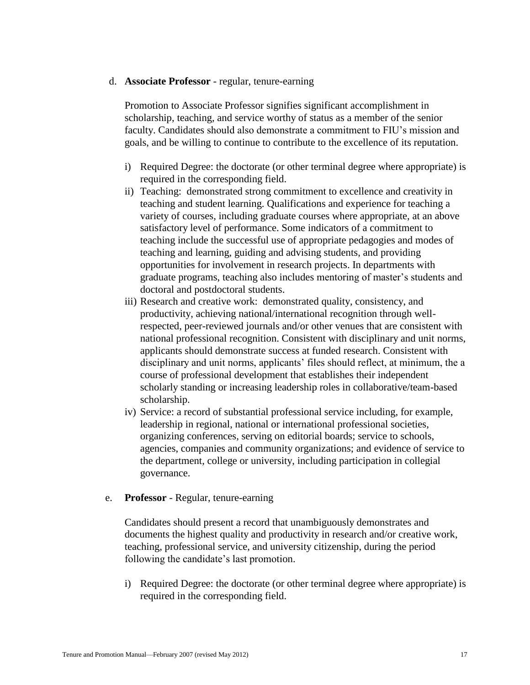#### d. **Associate Professor** - regular, tenure-earning

Promotion to Associate Professor signifies significant accomplishment in scholarship, teaching, and service worthy of status as a member of the senior faculty. Candidates should also demonstrate a commitment to FIU's mission and goals, and be willing to continue to contribute to the excellence of its reputation.

- i) Required Degree: the doctorate (or other terminal degree where appropriate) is required in the corresponding field.
- ii) Teaching: demonstrated strong commitment to excellence and creativity in teaching and student learning. Qualifications and experience for teaching a variety of courses, including graduate courses where appropriate, at an above satisfactory level of performance. Some indicators of a commitment to teaching include the successful use of appropriate pedagogies and modes of teaching and learning, guiding and advising students, and providing opportunities for involvement in research projects. In departments with graduate programs, teaching also includes mentoring of master's students and doctoral and postdoctoral students.
- iii) Research and creative work: demonstrated quality, consistency, and productivity, achieving national/international recognition through wellrespected, peer-reviewed journals and/or other venues that are consistent with national professional recognition. Consistent with disciplinary and unit norms, applicants should demonstrate success at funded research. Consistent with disciplinary and unit norms, applicants' files should reflect, at minimum, the a course of professional development that establishes their independent scholarly standing or increasing leadership roles in collaborative/team-based scholarship.
- iv) Service: a record of substantial professional service including, for example, leadership in regional, national or international professional societies, organizing conferences, serving on editorial boards; service to schools, agencies, companies and community organizations; and evidence of service to the department, college or university, including participation in collegial governance.

#### e. **Professor** - Regular, tenure-earning

Candidates should present a record that unambiguously demonstrates and documents the highest quality and productivity in research and/or creative work, teaching, professional service, and university citizenship, during the period following the candidate's last promotion.

i) Required Degree: the doctorate (or other terminal degree where appropriate) is required in the corresponding field.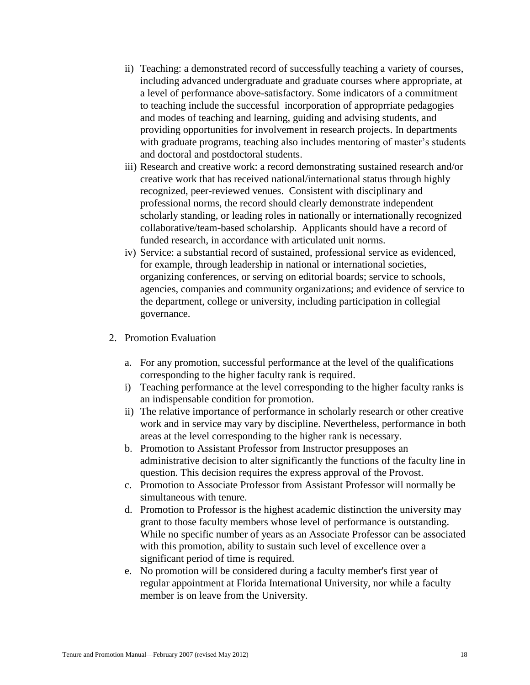- ii) Teaching: a demonstrated record of successfully teaching a variety of courses, including advanced undergraduate and graduate courses where appropriate, at a level of performance above-satisfactory. Some indicators of a commitment to teaching include the successful incorporation of approprriate pedagogies and modes of teaching and learning, guiding and advising students, and providing opportunities for involvement in research projects. In departments with graduate programs, teaching also includes mentoring of master's students and doctoral and postdoctoral students.
- iii) Research and creative work: a record demonstrating sustained research and/or creative work that has received national/international status through highly recognized, peer-reviewed venues. Consistent with disciplinary and professional norms, the record should clearly demonstrate independent scholarly standing, or leading roles in nationally or internationally recognized collaborative/team-based scholarship. Applicants should have a record of funded research, in accordance with articulated unit norms.
- iv) Service: a substantial record of sustained, professional service as evidenced, for example, through leadership in national or international societies, organizing conferences, or serving on editorial boards; service to schools, agencies, companies and community organizations; and evidence of service to the department, college or university, including participation in collegial governance.
- 2. Promotion Evaluation
	- a. For any promotion, successful performance at the level of the qualifications corresponding to the higher faculty rank is required.
	- i) Teaching performance at the level corresponding to the higher faculty ranks is an indispensable condition for promotion.
	- ii) The relative importance of performance in scholarly research or other creative work and in service may vary by discipline. Nevertheless, performance in both areas at the level corresponding to the higher rank is necessary.
	- b. Promotion to Assistant Professor from Instructor presupposes an administrative decision to alter significantly the functions of the faculty line in question. This decision requires the express approval of the Provost.
	- c. Promotion to Associate Professor from Assistant Professor will normally be simultaneous with tenure.
	- d. Promotion to Professor is the highest academic distinction the university may grant to those faculty members whose level of performance is outstanding. While no specific number of years as an Associate Professor can be associated with this promotion, ability to sustain such level of excellence over a significant period of time is required.
	- e. No promotion will be considered during a faculty member's first year of regular appointment at Florida International University, nor while a faculty member is on leave from the University.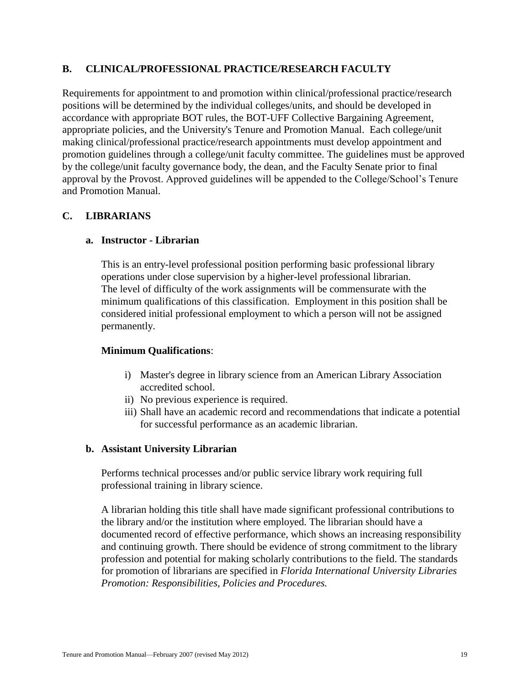## **B. CLINICAL/PROFESSIONAL PRACTICE/RESEARCH FACULTY**

Requirements for appointment to and promotion within clinical/professional practice/research positions will be determined by the individual colleges/units, and should be developed in accordance with appropriate BOT rules, the BOT-UFF Collective Bargaining Agreement, appropriate policies, and the University's Tenure and Promotion Manual. Each college/unit making clinical/professional practice/research appointments must develop appointment and promotion guidelines through a college/unit faculty committee. The guidelines must be approved by the college/unit faculty governance body, the dean, and the Faculty Senate prior to final approval by the Provost. Approved guidelines will be appended to the College/School's Tenure and Promotion Manual.

## **C. LIBRARIANS**

#### **a. Instructor - Librarian**

This is an entry-level professional position performing basic professional library operations under close supervision by a higher-level professional librarian. The level of difficulty of the work assignments will be commensurate with the minimum qualifications of this classification. Employment in this position shall be considered initial professional employment to which a person will not be assigned permanently.

#### **Minimum Qualifications**:

- i) Master's degree in library science from an American Library Association accredited school.
- ii) No previous experience is required.
- iii) Shall have an academic record and recommendations that indicate a potential for successful performance as an academic librarian.

#### **b. Assistant University Librarian**

Performs technical processes and/or public service library work requiring full professional training in library science.

A librarian holding this title shall have made significant professional contributions to the library and/or the institution where employed. The librarian should have a documented record of effective performance, which shows an increasing responsibility and continuing growth. There should be evidence of strong commitment to the library profession and potential for making scholarly contributions to the field. The standards for promotion of librarians are specified in *Florida International University Libraries Promotion: Responsibilities, Policies and Procedures.*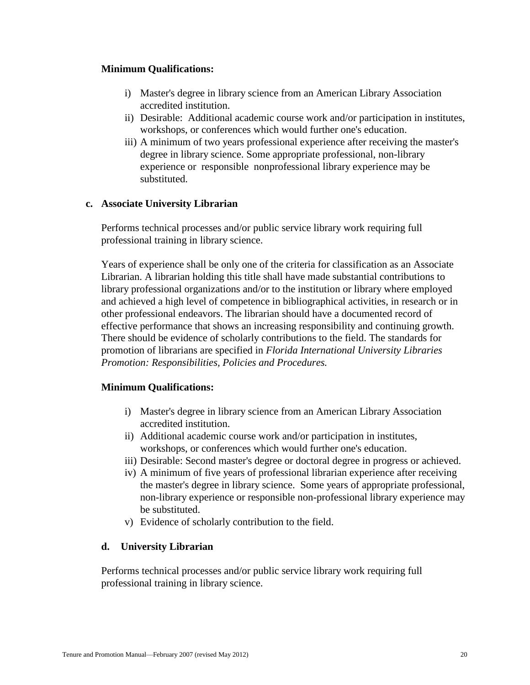#### **Minimum Qualifications:**

- i) Master's degree in library science from an American Library Association accredited institution.
- ii) Desirable: Additional academic course work and/or participation in institutes, workshops, or conferences which would further one's education.
- iii) A minimum of two years professional experience after receiving the master's degree in library science. Some appropriate professional, non-library experience or responsible nonprofessional library experience may be substituted.

#### **c. Associate University Librarian**

Performs technical processes and/or public service library work requiring full professional training in library science.

Years of experience shall be only one of the criteria for classification as an Associate Librarian. A librarian holding this title shall have made substantial contributions to library professional organizations and/or to the institution or library where employed and achieved a high level of competence in bibliographical activities, in research or in other professional endeavors. The librarian should have a documented record of effective performance that shows an increasing responsibility and continuing growth. There should be evidence of scholarly contributions to the field. The standards for promotion of librarians are specified in *Florida International University Libraries Promotion: Responsibilities, Policies and Procedures.*

## **Minimum Qualifications:**

- i) Master's degree in library science from an American Library Association accredited institution.
- ii) Additional academic course work and/or participation in institutes, workshops, or conferences which would further one's education.
- iii) Desirable: Second master's degree or doctoral degree in progress or achieved.
- iv) A minimum of five years of professional librarian experience after receiving the master's degree in library science. Some years of appropriate professional, non-library experience or responsible non-professional library experience may be substituted.
- v) Evidence of scholarly contribution to the field.

## **d. University Librarian**

Performs technical processes and/or public service library work requiring full professional training in library science.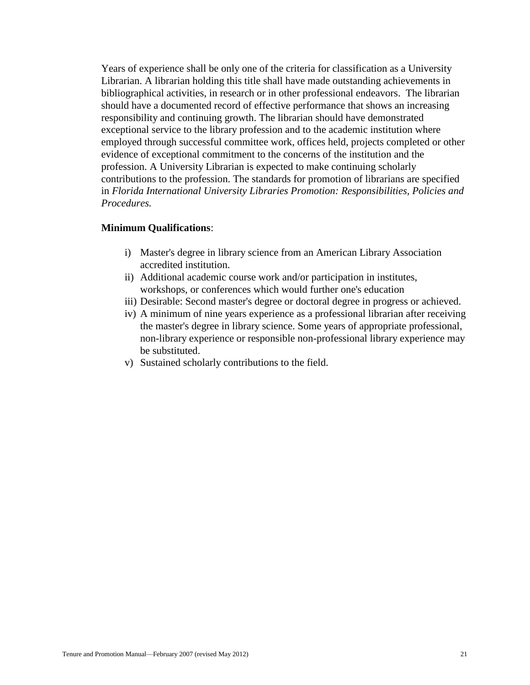Years of experience shall be only one of the criteria for classification as a University Librarian. A librarian holding this title shall have made outstanding achievements in bibliographical activities, in research or in other professional endeavors. The librarian should have a documented record of effective performance that shows an increasing responsibility and continuing growth. The librarian should have demonstrated exceptional service to the library profession and to the academic institution where employed through successful committee work, offices held, projects completed or other evidence of exceptional commitment to the concerns of the institution and the profession. A University Librarian is expected to make continuing scholarly contributions to the profession. The standards for promotion of librarians are specified in *Florida International University Libraries Promotion: Responsibilities, Policies and Procedures.*

#### **Minimum Qualifications**:

- i) Master's degree in library science from an American Library Association accredited institution.
- ii) Additional academic course work and/or participation in institutes, workshops, or conferences which would further one's education
- iii) Desirable: Second master's degree or doctoral degree in progress or achieved.
- iv) A minimum of nine years experience as a professional librarian after receiving the master's degree in library science. Some years of appropriate professional, non-library experience or responsible non-professional library experience may be substituted.
- v) Sustained scholarly contributions to the field.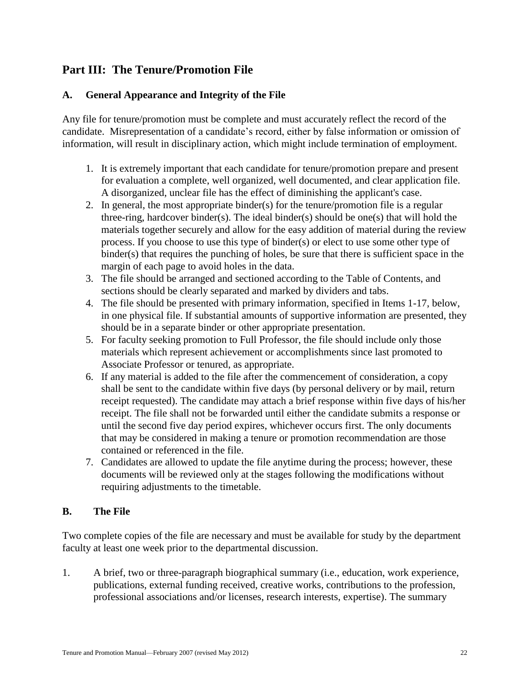## **Part III: The Tenure/Promotion File**

## **A. General Appearance and Integrity of the File**

Any file for tenure/promotion must be complete and must accurately reflect the record of the candidate. Misrepresentation of a candidate's record, either by false information or omission of information, will result in disciplinary action, which might include termination of employment.

- 1. It is extremely important that each candidate for tenure/promotion prepare and present for evaluation a complete, well organized, well documented, and clear application file. A disorganized, unclear file has the effect of diminishing the applicant's case.
- 2. In general, the most appropriate binder(s) for the tenure/promotion file is a regular three-ring, hardcover binder(s). The ideal binder(s) should be one(s) that will hold the materials together securely and allow for the easy addition of material during the review process. If you choose to use this type of binder(s) or elect to use some other type of  $binder(s)$  that requires the punching of holes, be sure that there is sufficient space in the margin of each page to avoid holes in the data.
- 3. The file should be arranged and sectioned according to the Table of Contents, and sections should be clearly separated and marked by dividers and tabs.
- 4. The file should be presented with primary information, specified in Items 1-17, below, in one physical file. If substantial amounts of supportive information are presented, they should be in a separate binder or other appropriate presentation.
- 5. For faculty seeking promotion to Full Professor, the file should include only those materials which represent achievement or accomplishments since last promoted to Associate Professor or tenured, as appropriate.
- 6. If any material is added to the file after the commencement of consideration, a copy shall be sent to the candidate within five days (by personal delivery or by mail, return receipt requested). The candidate may attach a brief response within five days of his/her receipt. The file shall not be forwarded until either the candidate submits a response or until the second five day period expires, whichever occurs first. The only documents that may be considered in making a tenure or promotion recommendation are those contained or referenced in the file.
- 7. Candidates are allowed to update the file anytime during the process; however, these documents will be reviewed only at the stages following the modifications without requiring adjustments to the timetable.

## **B. The File**

Two complete copies of the file are necessary and must be available for study by the department faculty at least one week prior to the departmental discussion.

1. A brief, two or three-paragraph biographical summary (i.e., education, work experience, publications, external funding received, creative works, contributions to the profession, professional associations and/or licenses, research interests, expertise). The summary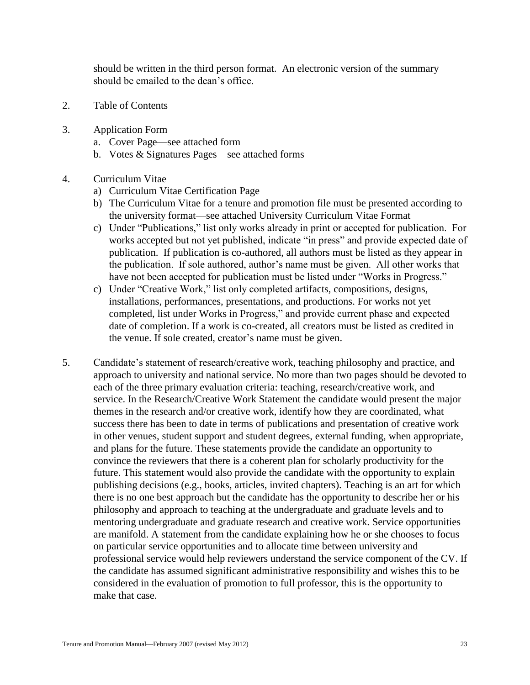should be written in the third person format. An electronic version of the summary should be emailed to the dean's office.

- 2. Table of Contents
- 3. Application Form
	- a. Cover Page—see attached form
	- b. Votes & Signatures Pages—see attached forms
- 4. Curriculum Vitae
	- a) Curriculum Vitae Certification Page
	- b) The Curriculum Vitae for a tenure and promotion file must be presented according to the university format—see attached University Curriculum Vitae Format
	- c) Under "Publications," list only works already in print or accepted for publication. For works accepted but not yet published, indicate "in press" and provide expected date of publication. If publication is co-authored, all authors must be listed as they appear in the publication. If sole authored, author's name must be given. All other works that have not been accepted for publication must be listed under "Works in Progress."
	- c) Under "Creative Work," list only completed artifacts, compositions, designs, installations, performances, presentations, and productions. For works not yet completed, list under Works in Progress," and provide current phase and expected date of completion. If a work is co-created, all creators must be listed as credited in the venue. If sole created, creator's name must be given.
- 5. Candidate's statement of research/creative work, teaching philosophy and practice, and approach to university and national service. No more than two pages should be devoted to each of the three primary evaluation criteria: teaching, research/creative work, and service. In the Research/Creative Work Statement the candidate would present the major themes in the research and/or creative work, identify how they are coordinated, what success there has been to date in terms of publications and presentation of creative work in other venues, student support and student degrees, external funding, when appropriate, and plans for the future. These statements provide the candidate an opportunity to convince the reviewers that there is a coherent plan for scholarly productivity for the future. This statement would also provide the candidate with the opportunity to explain publishing decisions (e.g., books, articles, invited chapters). Teaching is an art for which there is no one best approach but the candidate has the opportunity to describe her or his philosophy and approach to teaching at the undergraduate and graduate levels and to mentoring undergraduate and graduate research and creative work. Service opportunities are manifold. A statement from the candidate explaining how he or she chooses to focus on particular service opportunities and to allocate time between university and professional service would help reviewers understand the service component of the CV. If the candidate has assumed significant administrative responsibility and wishes this to be considered in the evaluation of promotion to full professor, this is the opportunity to make that case.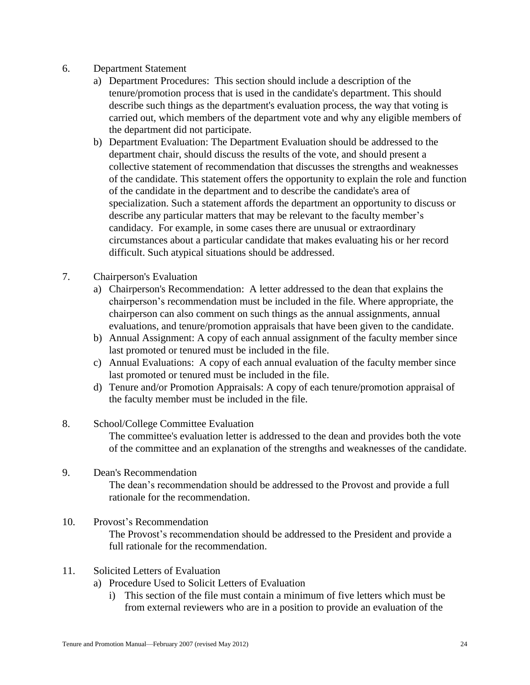#### 6. Department Statement

- a) Department Procedures: This section should include a description of the tenure/promotion process that is used in the candidate's department. This should describe such things as the department's evaluation process, the way that voting is carried out, which members of the department vote and why any eligible members of the department did not participate.
- b) Department Evaluation: The Department Evaluation should be addressed to the department chair, should discuss the results of the vote, and should present a collective statement of recommendation that discusses the strengths and weaknesses of the candidate. This statement offers the opportunity to explain the role and function of the candidate in the department and to describe the candidate's area of specialization. Such a statement affords the department an opportunity to discuss or describe any particular matters that may be relevant to the faculty member's candidacy. For example, in some cases there are unusual or extraordinary circumstances about a particular candidate that makes evaluating his or her record difficult. Such atypical situations should be addressed.
- 7. Chairperson's Evaluation
	- a) Chairperson's Recommendation: A letter addressed to the dean that explains the chairperson's recommendation must be included in the file. Where appropriate, the chairperson can also comment on such things as the annual assignments, annual evaluations, and tenure/promotion appraisals that have been given to the candidate.
	- b) Annual Assignment: A copy of each annual assignment of the faculty member since last promoted or tenured must be included in the file.
	- c) Annual Evaluations: A copy of each annual evaluation of the faculty member since last promoted or tenured must be included in the file.
	- d) Tenure and/or Promotion Appraisals: A copy of each tenure/promotion appraisal of the faculty member must be included in the file.
- 8. School/College Committee Evaluation The committee's evaluation letter is addressed to the dean and provides both the vote of the committee and an explanation of the strengths and weaknesses of the candidate.
- 9. Dean's Recommendation The dean's recommendation should be addressed to the Provost and provide a full rationale for the recommendation.
- 10. Provost's Recommendation The Provost's recommendation should be addressed to the President and provide a full rationale for the recommendation.
- 11. Solicited Letters of Evaluation
	- a) Procedure Used to Solicit Letters of Evaluation
		- i) This section of the file must contain a minimum of five letters which must be from external reviewers who are in a position to provide an evaluation of the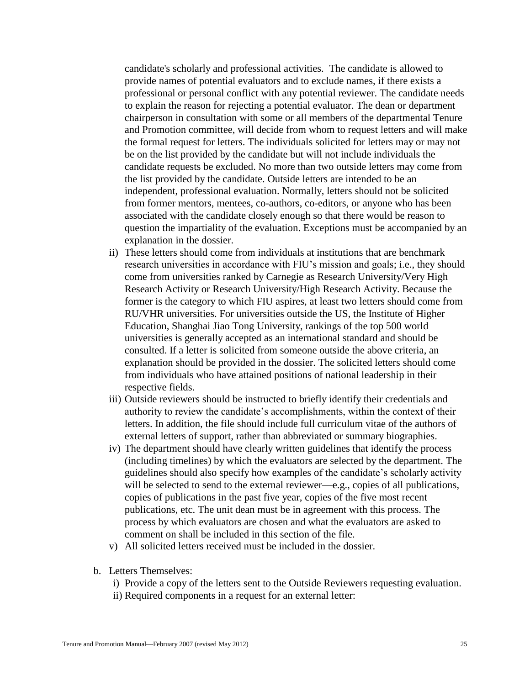candidate's scholarly and professional activities. The candidate is allowed to provide names of potential evaluators and to exclude names, if there exists a professional or personal conflict with any potential reviewer. The candidate needs to explain the reason for rejecting a potential evaluator. The dean or department chairperson in consultation with some or all members of the departmental Tenure and Promotion committee, will decide from whom to request letters and will make the formal request for letters. The individuals solicited for letters may or may not be on the list provided by the candidate but will not include individuals the candidate requests be excluded. No more than two outside letters may come from the list provided by the candidate. Outside letters are intended to be an independent, professional evaluation. Normally, letters should not be solicited from former mentors, mentees, co-authors, co-editors, or anyone who has been associated with the candidate closely enough so that there would be reason to question the impartiality of the evaluation. Exceptions must be accompanied by an explanation in the dossier.

- ii) These letters should come from individuals at institutions that are benchmark research universities in accordance with FIU's mission and goals; i.e., they should come from universities ranked by Carnegie as Research University/Very High Research Activity or Research University/High Research Activity. Because the former is the category to which FIU aspires, at least two letters should come from RU/VHR universities. For universities outside the US, the Institute of Higher Education, Shanghai Jiao Tong University, rankings of the top 500 world universities is generally accepted as an international standard and should be consulted. If a letter is solicited from someone outside the above criteria, an explanation should be provided in the dossier. The solicited letters should come from individuals who have attained positions of national leadership in their respective fields.
- iii) Outside reviewers should be instructed to briefly identify their credentials and authority to review the candidate's accomplishments, within the context of their letters. In addition, the file should include full curriculum vitae of the authors of external letters of support, rather than abbreviated or summary biographies.
- iv) The department should have clearly written guidelines that identify the process (including timelines) by which the evaluators are selected by the department. The guidelines should also specify how examples of the candidate's scholarly activity will be selected to send to the external reviewer—e.g., copies of all publications, copies of publications in the past five year, copies of the five most recent publications, etc. The unit dean must be in agreement with this process. The process by which evaluators are chosen and what the evaluators are asked to comment on shall be included in this section of the file.
- v) All solicited letters received must be included in the dossier.
- b. Letters Themselves:
	- i) Provide a copy of the letters sent to the Outside Reviewers requesting evaluation.
	- ii) Required components in a request for an external letter: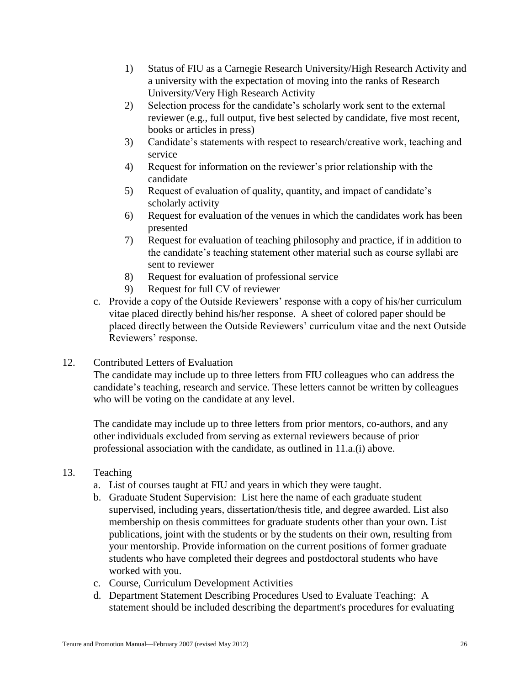- 1) Status of FIU as a Carnegie Research University/High Research Activity and a university with the expectation of moving into the ranks of Research University/Very High Research Activity
- 2) Selection process for the candidate's scholarly work sent to the external reviewer (e.g., full output, five best selected by candidate, five most recent, books or articles in press)
- 3) Candidate's statements with respect to research/creative work, teaching and service
- 4) Request for information on the reviewer's prior relationship with the candidate
- 5) Request of evaluation of quality, quantity, and impact of candidate's scholarly activity
- 6) Request for evaluation of the venues in which the candidates work has been presented
- 7) Request for evaluation of teaching philosophy and practice, if in addition to the candidate's teaching statement other material such as course syllabi are sent to reviewer
- 8) Request for evaluation of professional service
- 9) Request for full CV of reviewer
- c. Provide a copy of the Outside Reviewers' response with a copy of his/her curriculum vitae placed directly behind his/her response. A sheet of colored paper should be placed directly between the Outside Reviewers' curriculum vitae and the next Outside Reviewers' response.
- 12. Contributed Letters of Evaluation

The candidate may include up to three letters from FIU colleagues who can address the candidate's teaching, research and service. These letters cannot be written by colleagues who will be voting on the candidate at any level.

The candidate may include up to three letters from prior mentors, co-authors, and any other individuals excluded from serving as external reviewers because of prior professional association with the candidate, as outlined in 11.a.(i) above.

- 13. Teaching
	- a. List of courses taught at FIU and years in which they were taught.
	- b. Graduate Student Supervision: List here the name of each graduate student supervised, including years, dissertation/thesis title, and degree awarded. List also membership on thesis committees for graduate students other than your own. List publications, joint with the students or by the students on their own, resulting from your mentorship. Provide information on the current positions of former graduate students who have completed their degrees and postdoctoral students who have worked with you.
	- c. Course, Curriculum Development Activities
	- d. Department Statement Describing Procedures Used to Evaluate Teaching: A statement should be included describing the department's procedures for evaluating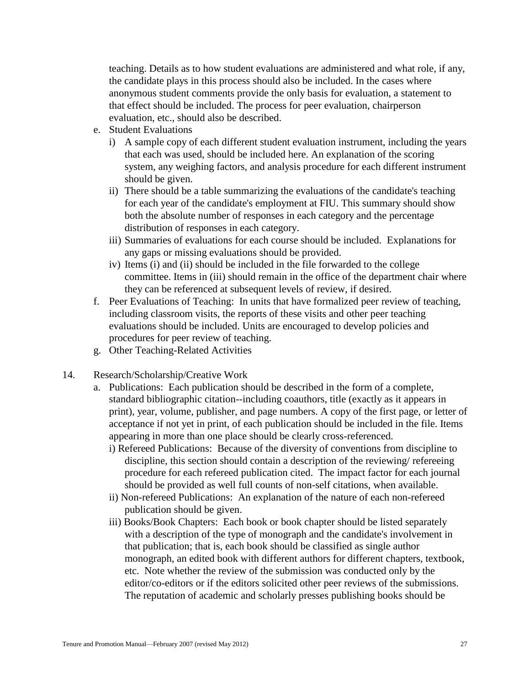teaching. Details as to how student evaluations are administered and what role, if any, the candidate plays in this process should also be included. In the cases where anonymous student comments provide the only basis for evaluation, a statement to that effect should be included. The process for peer evaluation, chairperson evaluation, etc., should also be described.

- e. Student Evaluations
	- i) A sample copy of each different student evaluation instrument, including the years that each was used, should be included here. An explanation of the scoring system, any weighing factors, and analysis procedure for each different instrument should be given.
	- ii) There should be a table summarizing the evaluations of the candidate's teaching for each year of the candidate's employment at FIU. This summary should show both the absolute number of responses in each category and the percentage distribution of responses in each category.
	- iii) Summaries of evaluations for each course should be included. Explanations for any gaps or missing evaluations should be provided.
	- iv) Items (i) and (ii) should be included in the file forwarded to the college committee. Items in (iii) should remain in the office of the department chair where they can be referenced at subsequent levels of review, if desired.
- f. Peer Evaluations of Teaching: In units that have formalized peer review of teaching, including classroom visits, the reports of these visits and other peer teaching evaluations should be included. Units are encouraged to develop policies and procedures for peer review of teaching.
- g. Other Teaching-Related Activities
- 14. Research/Scholarship/Creative Work
	- a. Publications: Each publication should be described in the form of a complete, standard bibliographic citation--including coauthors, title (exactly as it appears in print), year, volume, publisher, and page numbers. A copy of the first page, or letter of acceptance if not yet in print, of each publication should be included in the file. Items appearing in more than one place should be clearly cross-referenced.
		- i) Refereed Publications: Because of the diversity of conventions from discipline to discipline, this section should contain a description of the reviewing/ refereeing procedure for each refereed publication cited. The impact factor for each journal should be provided as well full counts of non-self citations, when available.
		- ii) Non-refereed Publications: An explanation of the nature of each non-refereed publication should be given.
		- iii) Books/Book Chapters: Each book or book chapter should be listed separately with a description of the type of monograph and the candidate's involvement in that publication; that is, each book should be classified as single author monograph, an edited book with different authors for different chapters, textbook, etc. Note whether the review of the submission was conducted only by the editor/co-editors or if the editors solicited other peer reviews of the submissions. The reputation of academic and scholarly presses publishing books should be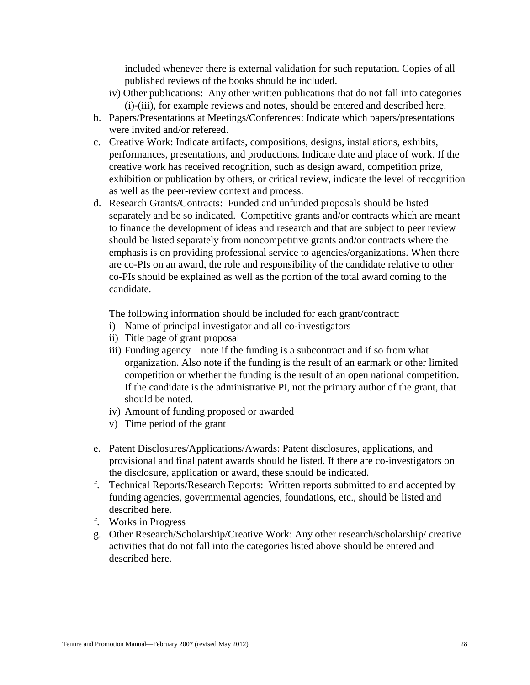included whenever there is external validation for such reputation. Copies of all published reviews of the books should be included.

- iv) Other publications: Any other written publications that do not fall into categories (i)-(iii), for example reviews and notes, should be entered and described here.
- b. Papers/Presentations at Meetings/Conferences: Indicate which papers/presentations were invited and/or refereed.
- c. Creative Work: Indicate artifacts, compositions, designs, installations, exhibits, performances, presentations, and productions. Indicate date and place of work. If the creative work has received recognition, such as design award, competition prize, exhibition or publication by others, or critical review, indicate the level of recognition as well as the peer-review context and process.
- d. Research Grants/Contracts: Funded and unfunded proposals should be listed separately and be so indicated. Competitive grants and/or contracts which are meant to finance the development of ideas and research and that are subject to peer review should be listed separately from noncompetitive grants and/or contracts where the emphasis is on providing professional service to agencies/organizations. When there are co-PIs on an award, the role and responsibility of the candidate relative to other co-PIs should be explained as well as the portion of the total award coming to the candidate.

The following information should be included for each grant/contract:

- i) Name of principal investigator and all co-investigators
- ii) Title page of grant proposal
- iii) Funding agency—note if the funding is a subcontract and if so from what organization. Also note if the funding is the result of an earmark or other limited competition or whether the funding is the result of an open national competition. If the candidate is the administrative PI, not the primary author of the grant, that should be noted.
- iv) Amount of funding proposed or awarded
- v) Time period of the grant
- e. Patent Disclosures/Applications/Awards: Patent disclosures, applications, and provisional and final patent awards should be listed. If there are co-investigators on the disclosure, application or award, these should be indicated.
- f. Technical Reports/Research Reports: Written reports submitted to and accepted by funding agencies, governmental agencies, foundations, etc., should be listed and described here.
- f. Works in Progress
- g. Other Research/Scholarship/Creative Work: Any other research/scholarship/ creative activities that do not fall into the categories listed above should be entered and described here.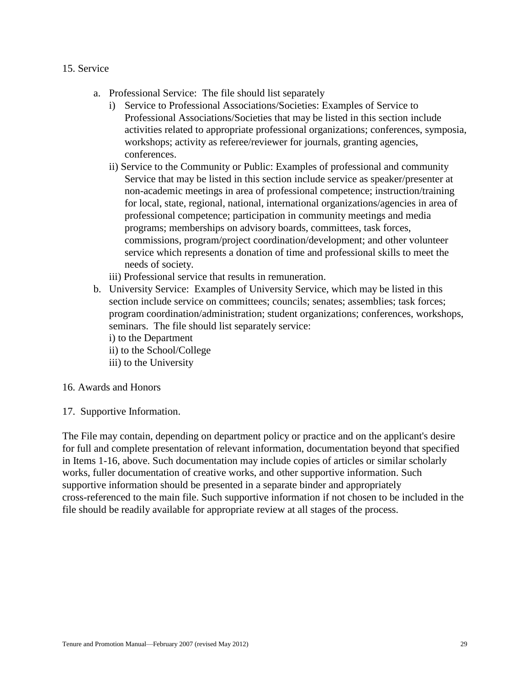- 15. Service
	- a. Professional Service: The file should list separately
		- i) Service to Professional Associations/Societies: Examples of Service to Professional Associations/Societies that may be listed in this section include activities related to appropriate professional organizations; conferences, symposia, workshops; activity as referee/reviewer for journals, granting agencies, conferences.
		- ii) Service to the Community or Public: Examples of professional and community Service that may be listed in this section include service as speaker/presenter at non-academic meetings in area of professional competence; instruction/training for local, state, regional, national, international organizations/agencies in area of professional competence; participation in community meetings and media programs; memberships on advisory boards, committees, task forces, commissions, program/project coordination/development; and other volunteer service which represents a donation of time and professional skills to meet the needs of society.
		- iii) Professional service that results in remuneration.
	- b. University Service: Examples of University Service, which may be listed in this section include service on committees; councils; senates; assemblies; task forces; program coordination/administration; student organizations; conferences, workshops, seminars. The file should list separately service: i) to the Department
		- ii) to the School/College
		- iii) to the University

#### 16. Awards and Honors

17. Supportive Information.

The File may contain, depending on department policy or practice and on the applicant's desire for full and complete presentation of relevant information, documentation beyond that specified in Items 1-16, above. Such documentation may include copies of articles or similar scholarly works, fuller documentation of creative works, and other supportive information. Such supportive information should be presented in a separate binder and appropriately cross-referenced to the main file. Such supportive information if not chosen to be included in the file should be readily available for appropriate review at all stages of the process.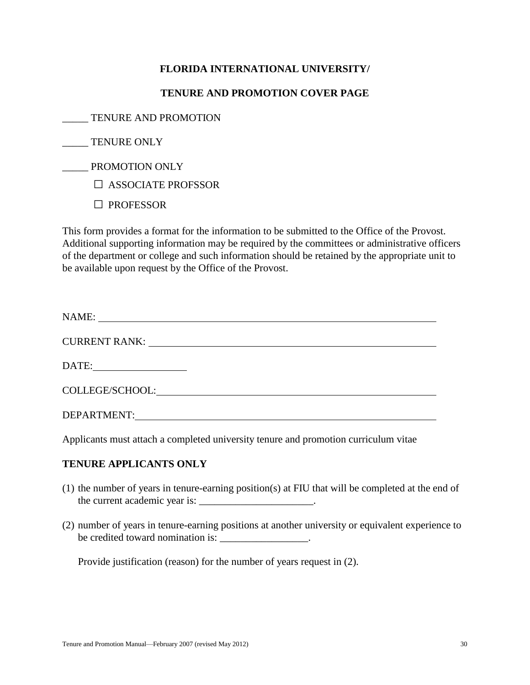## **FLORIDA INTERNATIONAL UNIVERSITY/**

#### **TENURE AND PROMOTION COVER PAGE**

\_\_\_\_\_ TENURE AND PROMOTION

TENURE ONLY

\_\_\_\_\_ PROMOTION ONLY

□ ASSOCIATE PROFSSOR

□ PROFESSOR

This form provides a format for the information to be submitted to the Office of the Provost. Additional supporting information may be required by the committees or administrative officers of the department or college and such information should be retained by the appropriate unit to be available upon request by the Office of the Provost.

| NAME:           |
|-----------------|
|                 |
|                 |
| COLLEGE/SCHOOL: |
| DEPARTMENT:     |

Applicants must attach a completed university tenure and promotion curriculum vitae

## **TENURE APPLICANTS ONLY**

- (1) the number of years in tenure-earning position(s) at FIU that will be completed at the end of the current academic year is:
- (2) number of years in tenure-earning positions at another university or equivalent experience to be credited toward nomination is: \_\_\_\_\_\_\_\_\_\_\_\_\_\_\_\_\_.

Provide justification (reason) for the number of years request in (2).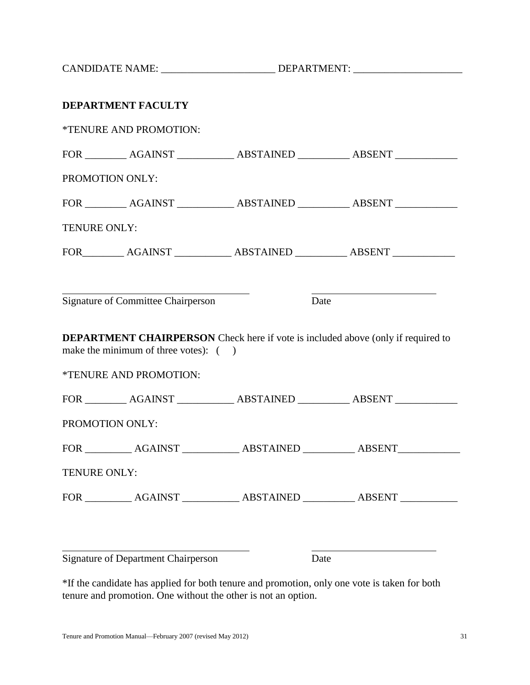CANDIDATE NAME: \_\_\_\_\_\_\_\_\_\_\_\_\_\_\_\_\_\_\_\_\_\_\_\_\_\_\_\_\_DEPARTMENT: \_\_\_\_\_\_\_\_\_\_\_\_\_\_\_\_\_\_\_\_\_\_\_

|              | DEPARTMENT FACULTY                                             |      |                                                                                         |  |
|--------------|----------------------------------------------------------------|------|-----------------------------------------------------------------------------------------|--|
|              | *TENURE AND PROMOTION:                                         |      |                                                                                         |  |
|              |                                                                |      | FOR ___________ AGAINST ______________ ABSTAINED ____________ ABSENT ____________       |  |
|              | PROMOTION ONLY:                                                |      |                                                                                         |  |
|              |                                                                |      | FOR ___________ AGAINST ______________ ABSTAINED ____________ ABSENT ____________       |  |
| TENURE ONLY: |                                                                |      |                                                                                         |  |
|              |                                                                |      | FOR____________ AGAINST ______________ ABSTAINED ____________ ABSENT ____________       |  |
|              |                                                                |      |                                                                                         |  |
|              | <b>Signature of Committee Chairperson</b>                      | Date |                                                                                         |  |
|              | make the minimum of three votes): ()<br>*TENURE AND PROMOTION: |      | <b>DEPARTMENT CHAIRPERSON</b> Check here if vote is included above (only if required to |  |
|              |                                                                |      | FOR ___________ AGAINST ______________ ABSTAINED ____________ ABSENT ____________       |  |
|              | PROMOTION ONLY:                                                |      |                                                                                         |  |
|              |                                                                |      |                                                                                         |  |
| TENURE ONLY: |                                                                |      |                                                                                         |  |
|              |                                                                |      |                                                                                         |  |
|              |                                                                |      |                                                                                         |  |
|              | <b>Signature of Department Chairperson</b>                     |      | Date                                                                                    |  |

\*If the candidate has applied for both tenure and promotion, only one vote is taken for both tenure and promotion. One without the other is not an option.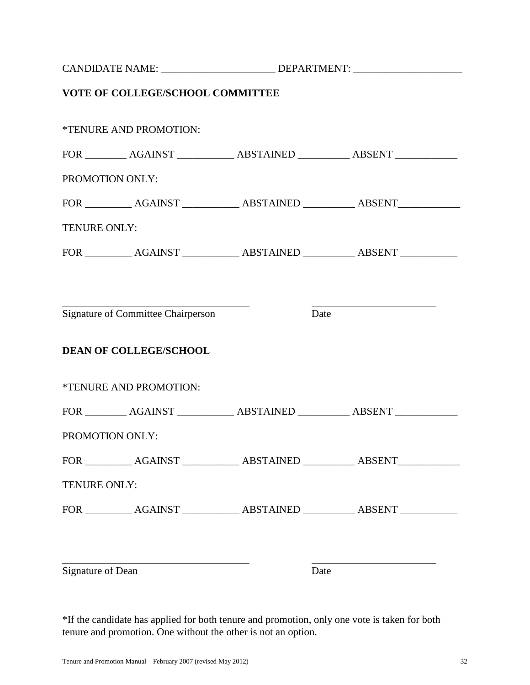|                                           | VOTE OF COLLEGE/SCHOOL COMMITTEE                                                  |      |  |  |
|-------------------------------------------|-----------------------------------------------------------------------------------|------|--|--|
|                                           | *TENURE AND PROMOTION:                                                            |      |  |  |
|                                           | FOR ___________ AGAINST ______________ ABSTAINED ____________ ABSENT ____________ |      |  |  |
| PROMOTION ONLY:                           |                                                                                   |      |  |  |
|                                           |                                                                                   |      |  |  |
| TENURE ONLY:                              |                                                                                   |      |  |  |
|                                           | FOR ____________ AGAINST _____________ ABSTAINED ___________ ABSENT ____________  |      |  |  |
|                                           |                                                                                   |      |  |  |
| <b>Signature of Committee Chairperson</b> |                                                                                   | Date |  |  |
|                                           | <b>DEAN OF COLLEGE/SCHOOL</b>                                                     |      |  |  |
|                                           | *TENURE AND PROMOTION:                                                            |      |  |  |
|                                           | FOR ___________ AGAINST ______________ ABSTAINED ____________ ABSENT ____________ |      |  |  |
| PROMOTION ONLY:                           |                                                                                   |      |  |  |
|                                           |                                                                                   |      |  |  |
| TENURE ONLY:                              |                                                                                   |      |  |  |
|                                           |                                                                                   |      |  |  |
| Signature of Dean                         |                                                                                   | Date |  |  |

\*If the candidate has applied for both tenure and promotion, only one vote is taken for both tenure and promotion. One without the other is not an option.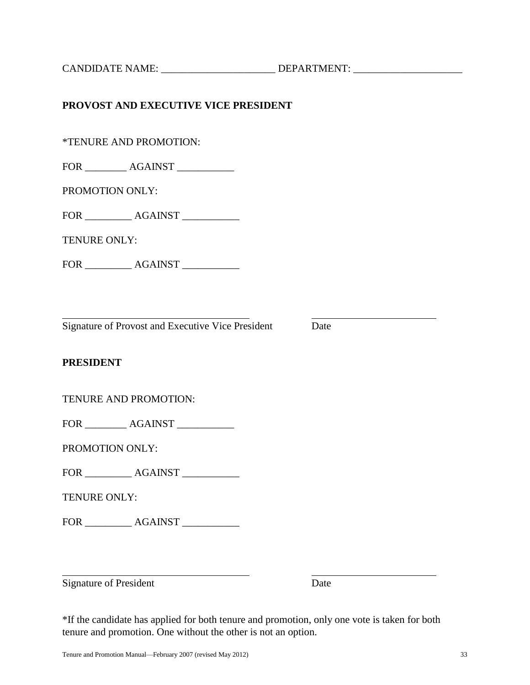#### **PRESIDENT**

TENURE AND PROMOTION:

FOR \_\_\_\_\_\_\_\_ AGAINST \_\_\_\_\_\_\_\_\_\_

PROMOTION ONLY:

FOR AGAINST

TENURE ONLY:

FOR \_\_\_\_\_\_\_\_\_ AGAINST \_\_\_\_\_\_\_\_\_\_\_

Signature of President Date

\*If the candidate has applied for both tenure and promotion, only one vote is taken for both tenure and promotion. One without the other is not an option.

CANDIDATE NAME: \_\_\_\_\_\_\_\_\_\_\_\_\_\_\_\_\_\_\_\_\_\_ DEPARTMENT: \_\_\_\_\_\_\_\_\_\_\_\_\_\_\_\_\_\_\_\_\_

# **PROVOST AND EXECUTIVE VICE PRESIDENT**

\*TENURE AND PROMOTION:

FOR \_\_\_\_\_\_\_\_ AGAINST \_\_\_\_\_\_\_\_\_\_\_

PROMOTION ONLY:

FOR \_\_\_\_\_\_\_\_ AGAINST \_\_\_\_\_\_\_\_\_\_

TENURE ONLY:

FOR \_\_\_\_\_\_\_\_\_ AGAINST \_\_\_\_\_\_\_\_\_\_\_

Signature of Provost and Executive Vice President Date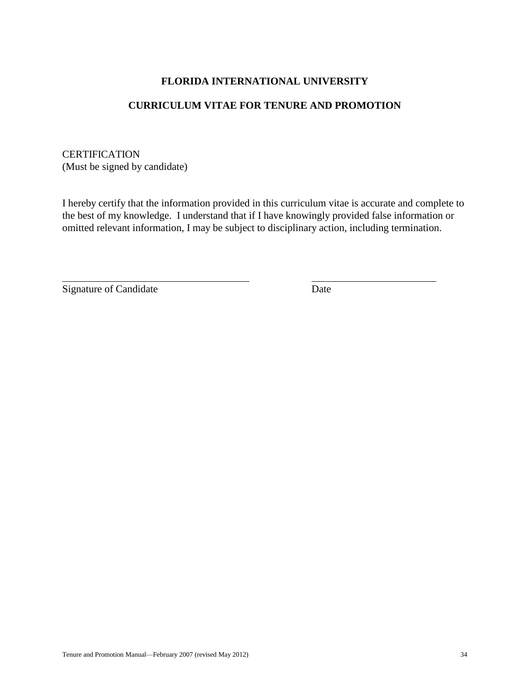## **FLORIDA INTERNATIONAL UNIVERSITY**

#### **CURRICULUM VITAE FOR TENURE AND PROMOTION**

**CERTIFICATION** (Must be signed by candidate)

I hereby certify that the information provided in this curriculum vitae is accurate and complete to the best of my knowledge. I understand that if I have knowingly provided false information or omitted relevant information, I may be subject to disciplinary action, including termination.

Signature of Candidate Date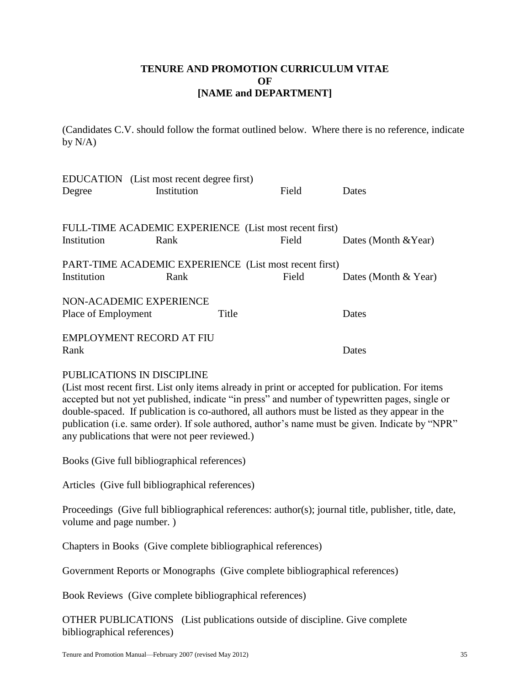## **TENURE AND PROMOTION CURRICULUM VITAE OF [NAME and DEPARTMENT]**

(Candidates C.V. should follow the format outlined below. Where there is no reference, indicate by  $N/A$ )

| Degree              | EDUCATION (List most recent degree first)<br>Institution | Field | Dates                   |
|---------------------|----------------------------------------------------------|-------|-------------------------|
|                     | FULL-TIME ACADEMIC EXPERIENCE (List most recent first)   |       |                         |
| Institution         | Rank                                                     | Field | Dates (Month $& Year$ ) |
|                     | PART-TIME ACADEMIC EXPERIENCE (List most recent first)   |       |                         |
| Institution         | Rank                                                     | Field | Dates (Month $& Year$ ) |
|                     | NON-ACADEMIC EXPERIENCE                                  |       |                         |
| Place of Employment | Title                                                    |       | Dates                   |
|                     | <b>EMPLOYMENT RECORD AT FIU</b>                          |       |                         |
| Rank                |                                                          |       | Dates                   |

#### PUBLICATIONS IN DISCIPLINE

(List most recent first. List only items already in print or accepted for publication. For items accepted but not yet published, indicate "in press" and number of typewritten pages, single or double-spaced. If publication is co-authored, all authors must be listed as they appear in the publication (i.e. same order). If sole authored, author's name must be given. Indicate by "NPR" any publications that were not peer reviewed.)

Books (Give full bibliographical references)

Articles (Give full bibliographical references)

Proceedings (Give full bibliographical references: author(s); journal title, publisher, title, date, volume and page number. )

Chapters in Books (Give complete bibliographical references)

Government Reports or Monographs (Give complete bibliographical references)

Book Reviews (Give complete bibliographical references)

OTHER PUBLICATIONS (List publications outside of discipline. Give complete bibliographical references)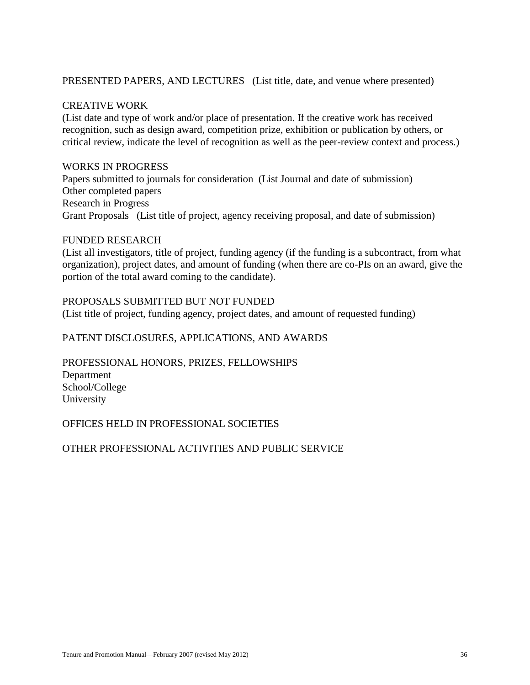#### PRESENTED PAPERS, AND LECTURES (List title, date, and venue where presented)

#### CREATIVE WORK

(List date and type of work and/or place of presentation. If the creative work has received recognition, such as design award, competition prize, exhibition or publication by others, or critical review, indicate the level of recognition as well as the peer-review context and process.)

#### WORKS IN PROGRESS

Papers submitted to journals for consideration (List Journal and date of submission) Other completed papers Research in Progress Grant Proposals (List title of project, agency receiving proposal, and date of submission)

#### FUNDED RESEARCH

(List all investigators, title of project, funding agency (if the funding is a subcontract, from what organization), project dates, and amount of funding (when there are co-PIs on an award, give the portion of the total award coming to the candidate).

#### PROPOSALS SUBMITTED BUT NOT FUNDED

(List title of project, funding agency, project dates, and amount of requested funding)

#### PATENT DISCLOSURES, APPLICATIONS, AND AWARDS

PROFESSIONAL HONORS, PRIZES, FELLOWSHIPS Department School/College University

#### OFFICES HELD IN PROFESSIONAL SOCIETIES

#### OTHER PROFESSIONAL ACTIVITIES AND PUBLIC SERVICE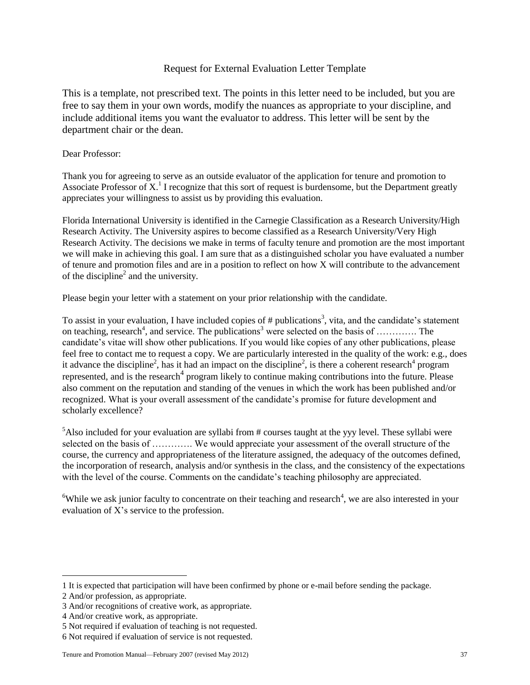#### Request for External Evaluation Letter Template

This is a template, not prescribed text. The points in this letter need to be included, but you are free to say them in your own words, modify the nuances as appropriate to your discipline, and include additional items you want the evaluator to address. This letter will be sent by the department chair or the dean.

#### Dear Professor:

Thank you for agreeing to serve as an outside evaluator of the application for tenure and promotion to Associate Professor of  $X<sup>1</sup>$  I recognize that this sort of request is burdensome, but the Department greatly appreciates your willingness to assist us by providing this evaluation.

Florida International University is identified in the Carnegie Classification as a Research University/High Research Activity. The University aspires to become classified as a Research University/Very High Research Activity. The decisions we make in terms of faculty tenure and promotion are the most important we will make in achieving this goal. I am sure that as a distinguished scholar you have evaluated a number of tenure and promotion files and are in a position to reflect on how X will contribute to the advancement of the discipline<sup>2</sup> and the university.

Please begin your letter with a statement on your prior relationship with the candidate.

To assist in your evaluation, I have included copies of # publications<sup>3</sup>, vita, and the candidate's statement on teaching, research<sup>4</sup>, and service. The publications<sup>3</sup> were selected on the basis of .............. The candidate's vitae will show other publications. If you would like copies of any other publications, please feel free to contact me to request a copy. We are particularly interested in the quality of the work: e.g., does it advance the discipline<sup>2</sup>, has it had an impact on the discipline<sup>2</sup>, is there a coherent research<sup>4</sup> program represented, and is the research<sup>4</sup> program likely to continue making contributions into the future. Please also comment on the reputation and standing of the venues in which the work has been published and/or recognized. What is your overall assessment of the candidate's promise for future development and scholarly excellence?

 $<sup>5</sup>$ Also included for your evaluation are syllabi from # courses taught at the yyy level. These syllabi were</sup> selected on the basis of …………. We would appreciate your assessment of the overall structure of the course, the currency and appropriateness of the literature assigned, the adequacy of the outcomes defined, the incorporation of research, analysis and/or synthesis in the class, and the consistency of the expectations with the level of the course. Comments on the candidate's teaching philosophy are appreciated.

 ${}^{6}$ While we ask junior faculty to concentrate on their teaching and research<sup>4</sup>, we are also interested in your evaluation of X's service to the profession.

 $\overline{a}$ 

<sup>1</sup> It is expected that participation will have been confirmed by phone or e-mail before sending the package.

<sup>2</sup> And/or profession, as appropriate.

<sup>3</sup> And/or recognitions of creative work, as appropriate.

<sup>4</sup> And/or creative work, as appropriate.

<sup>5</sup> Not required if evaluation of teaching is not requested.

<sup>6</sup> Not required if evaluation of service is not requested.